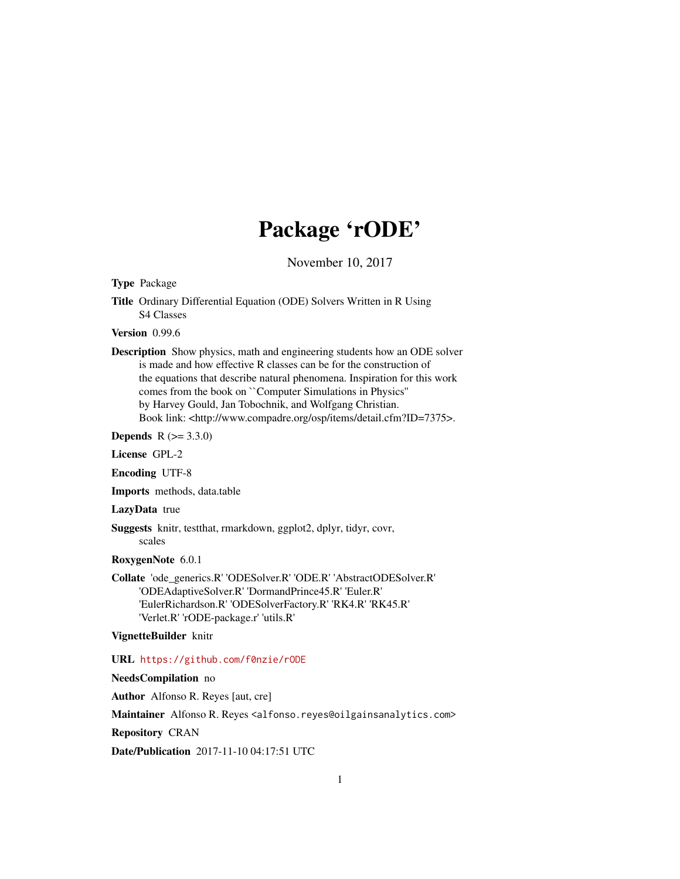# Package 'rODE'

November 10, 2017

Type Package

Title Ordinary Differential Equation (ODE) Solvers Written in R Using S4 Classes

Version 0.99.6

Description Show physics, math and engineering students how an ODE solver is made and how effective R classes can be for the construction of the equations that describe natural phenomena. Inspiration for this work comes from the book on ``Computer Simulations in Physics'' by Harvey Gould, Jan Tobochnik, and Wolfgang Christian. Book link: <http://www.compadre.org/osp/items/detail.cfm?ID=7375>.

**Depends**  $R (= 3.3.0)$ 

License GPL-2

Encoding UTF-8

Imports methods, data.table

LazyData true

Suggests knitr, testthat, rmarkdown, ggplot2, dplyr, tidyr, covr, scales

RoxygenNote 6.0.1

Collate 'ode\_generics.R' 'ODESolver.R' 'ODE.R' 'AbstractODESolver.R' 'ODEAdaptiveSolver.R' 'DormandPrince45.R' 'Euler.R' 'EulerRichardson.R' 'ODESolverFactory.R' 'RK4.R' 'RK45.R' 'Verlet.R' 'rODE-package.r' 'utils.R'

VignetteBuilder knitr

URL <https://github.com/f0nzie/rODE>

NeedsCompilation no

Author Alfonso R. Reyes [aut, cre]

Maintainer Alfonso R. Reyes <alfonso.reyes@oilgainsanalytics.com>

Repository CRAN

Date/Publication 2017-11-10 04:17:51 UTC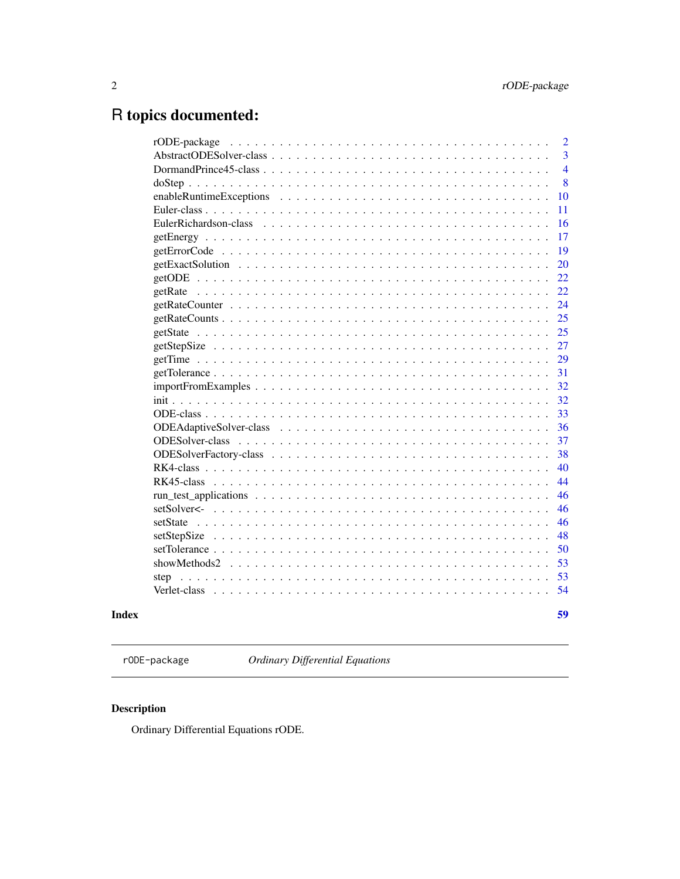# <span id="page-1-0"></span>R topics documented:

|                                                                                                                     |  |  |  |  |  |  |  |  |  |  |  |  |  | 59             |
|---------------------------------------------------------------------------------------------------------------------|--|--|--|--|--|--|--|--|--|--|--|--|--|----------------|
|                                                                                                                     |  |  |  |  |  |  |  |  |  |  |  |  |  | 54             |
|                                                                                                                     |  |  |  |  |  |  |  |  |  |  |  |  |  | 53             |
|                                                                                                                     |  |  |  |  |  |  |  |  |  |  |  |  |  | 53             |
|                                                                                                                     |  |  |  |  |  |  |  |  |  |  |  |  |  | 50             |
|                                                                                                                     |  |  |  |  |  |  |  |  |  |  |  |  |  | 48             |
|                                                                                                                     |  |  |  |  |  |  |  |  |  |  |  |  |  | 46             |
|                                                                                                                     |  |  |  |  |  |  |  |  |  |  |  |  |  | 46             |
| $run_test\_applications \ldots \ldots \ldots \ldots \ldots \ldots \ldots \ldots \ldots \ldots \ldots \ldots \ldots$ |  |  |  |  |  |  |  |  |  |  |  |  |  | 46             |
|                                                                                                                     |  |  |  |  |  |  |  |  |  |  |  |  |  | 44             |
|                                                                                                                     |  |  |  |  |  |  |  |  |  |  |  |  |  | 40             |
|                                                                                                                     |  |  |  |  |  |  |  |  |  |  |  |  |  | 38             |
|                                                                                                                     |  |  |  |  |  |  |  |  |  |  |  |  |  | 37             |
|                                                                                                                     |  |  |  |  |  |  |  |  |  |  |  |  |  | 36             |
|                                                                                                                     |  |  |  |  |  |  |  |  |  |  |  |  |  | 33             |
|                                                                                                                     |  |  |  |  |  |  |  |  |  |  |  |  |  | 32             |
|                                                                                                                     |  |  |  |  |  |  |  |  |  |  |  |  |  | 32             |
|                                                                                                                     |  |  |  |  |  |  |  |  |  |  |  |  |  | 31             |
|                                                                                                                     |  |  |  |  |  |  |  |  |  |  |  |  |  | 29             |
|                                                                                                                     |  |  |  |  |  |  |  |  |  |  |  |  |  | 27             |
|                                                                                                                     |  |  |  |  |  |  |  |  |  |  |  |  |  | 25             |
|                                                                                                                     |  |  |  |  |  |  |  |  |  |  |  |  |  | 25             |
|                                                                                                                     |  |  |  |  |  |  |  |  |  |  |  |  |  | 24             |
|                                                                                                                     |  |  |  |  |  |  |  |  |  |  |  |  |  | 22             |
|                                                                                                                     |  |  |  |  |  |  |  |  |  |  |  |  |  | 22             |
|                                                                                                                     |  |  |  |  |  |  |  |  |  |  |  |  |  | 20             |
|                                                                                                                     |  |  |  |  |  |  |  |  |  |  |  |  |  | 19             |
|                                                                                                                     |  |  |  |  |  |  |  |  |  |  |  |  |  | 17             |
| EulerRichardson-class                                                                                               |  |  |  |  |  |  |  |  |  |  |  |  |  | 16             |
|                                                                                                                     |  |  |  |  |  |  |  |  |  |  |  |  |  | 11             |
|                                                                                                                     |  |  |  |  |  |  |  |  |  |  |  |  |  | 10             |
|                                                                                                                     |  |  |  |  |  |  |  |  |  |  |  |  |  | 8              |
|                                                                                                                     |  |  |  |  |  |  |  |  |  |  |  |  |  | $\overline{4}$ |
|                                                                                                                     |  |  |  |  |  |  |  |  |  |  |  |  |  | 3              |
| rODE-package                                                                                                        |  |  |  |  |  |  |  |  |  |  |  |  |  | $\overline{2}$ |

rODE-package *Ordinary Differential Equations*

## Description

Ordinary Differential Equations rODE.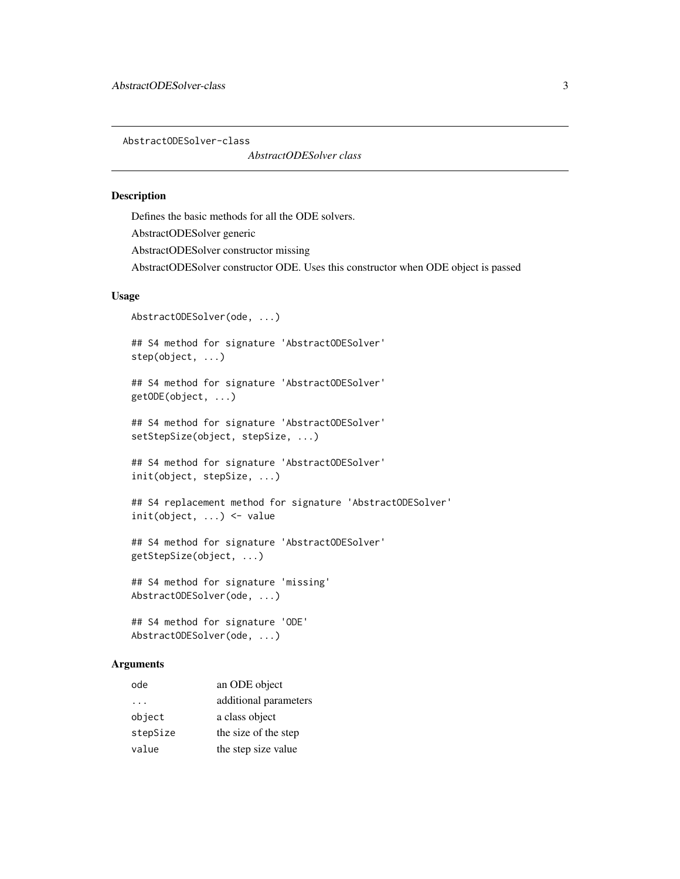<span id="page-2-0"></span>AbstractODESolver-class

*AbstractODESolver class*

### Description

Defines the basic methods for all the ODE solvers. AbstractODESolver generic AbstractODESolver constructor missing AbstractODESolver constructor ODE. Uses this constructor when ODE object is passed

#### Usage

```
AbstractODESolver(ode, ...)
```
## S4 method for signature 'AbstractODESolver' step(object, ...)

## S4 method for signature 'AbstractODESolver' getODE(object, ...)

```
## S4 method for signature 'AbstractODESolver'
setStepSize(object, stepSize, ...)
```
## S4 method for signature 'AbstractODESolver' init(object, stepSize, ...)

```
## S4 replacement method for signature 'AbstractODESolver'
init(object, ...) <- value
```

```
## S4 method for signature 'AbstractODESolver'
getStepSize(object, ...)
```
## S4 method for signature 'missing' AbstractODESolver(ode, ...)

## S4 method for signature 'ODE' AbstractODESolver(ode, ...)

#### Arguments

| ode      | an ODE object         |
|----------|-----------------------|
| $\cdot$  | additional parameters |
| object   | a class object        |
| stepSize | the size of the step  |
| value    | the step size value   |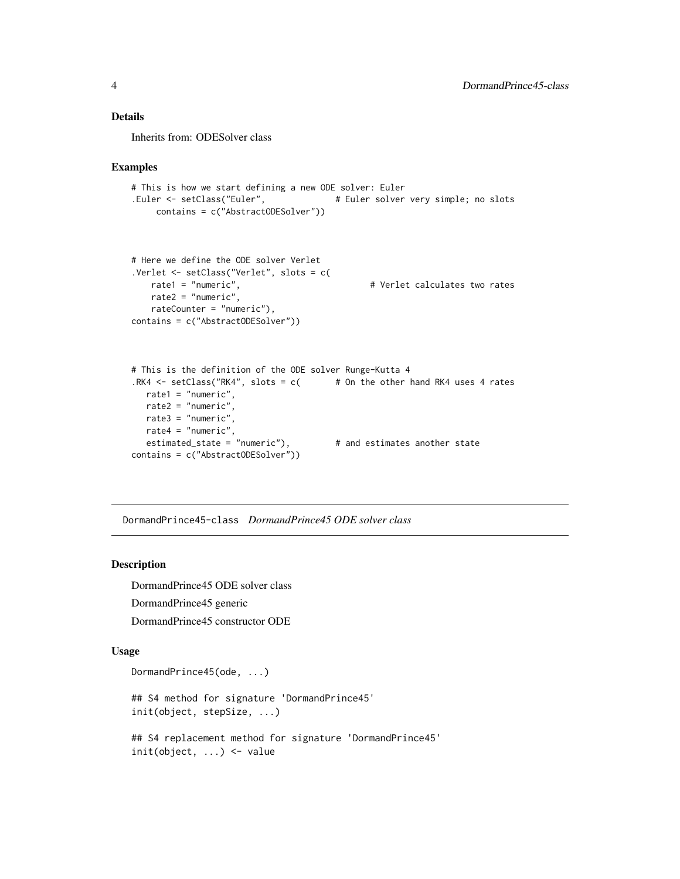### <span id="page-3-0"></span>Details

Inherits from: ODESolver class

#### Examples

```
# This is how we start defining a new ODE solver: Euler
.Euler <- setClass("Euler", \qquad \qquad \qquad \qquad \text{# Euler solver very simple; no slots}contains = c("AbstractODESolver"))
# Here we define the ODE solver Verlet
.Verlet <- setClass("Verlet", slots = c(
   rate1 = "numeric", \qquad \qquad \qquad \qquad \qquad \qquad \qquad \qquad \qquad \qquad \text{Verlet calculates two rates}rate2 = "numeric",
    rateCounter = "numeric"),
contains = c("AbstractODESolver"))
# This is the definition of the ODE solver Runge-Kutta 4
.RK4 \le setClass("RK4", slots = c( # 0n the other hand RK4 uses 4 rates
  rate1 = "numeric",
  rate2 = "numeric",
  rate3 = "numeric",
  rate4 = "numeric",
  estimated_state = "numeric"), # and estimates another state
contains = c("AbstractODESolver"))
```
DormandPrince45-class *DormandPrince45 ODE solver class*

#### Description

DormandPrince45 ODE solver class DormandPrince45 generic DormandPrince45 constructor ODE

#### Usage

```
DormandPrince45(ode, ...)
## S4 method for signature 'DormandPrince45'
init(object, stepSize, ...)
## S4 replacement method for signature 'DormandPrince45'
init(object, ...) <- value
```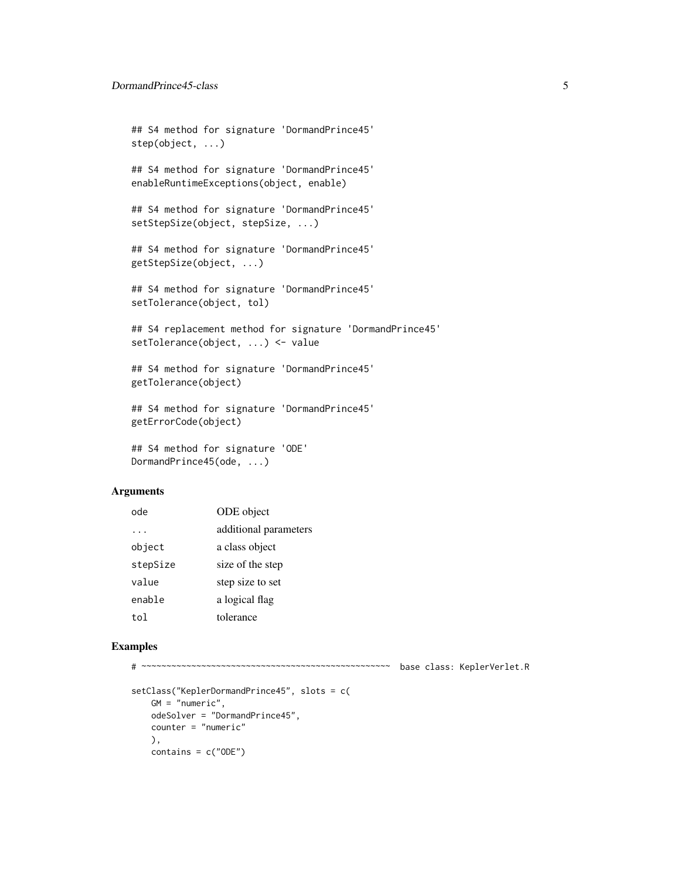```
## S4 method for signature 'DormandPrince45'
step(object, ...)
## S4 method for signature 'DormandPrince45'
enableRuntimeExceptions(object, enable)
## S4 method for signature 'DormandPrince45'
setStepSize(object, stepSize, ...)
## S4 method for signature 'DormandPrince45'
getStepSize(object, ...)
## S4 method for signature 'DormandPrince45'
setTolerance(object, tol)
## S4 replacement method for signature 'DormandPrince45'
setTolerance(object, ...) <- value
## S4 method for signature 'DormandPrince45'
getTolerance(object)
## S4 method for signature 'DormandPrince45'
getErrorCode(object)
```

```
## S4 method for signature 'ODE'
DormandPrince45(ode, ...)
```
#### Arguments

| ode      | ODE object            |
|----------|-----------------------|
|          | additional parameters |
| object   | a class object        |
| stepSize | size of the step      |
| value    | step size to set      |
| enable   | a logical flag        |
| to1      | tolerance             |

```
# ~~~~~~~~~~~~~~~~~~~~~~~~~~~~~~~~~~~~~~~~~~~~~~~~~~ base class: KeplerVerlet.R
setClass("KeplerDormandPrince45", slots = c(
   GM = "numeric",
   odeSolver = "DormandPrince45",
   counter = "numeric"
   ),
   contains = c("ODE")
```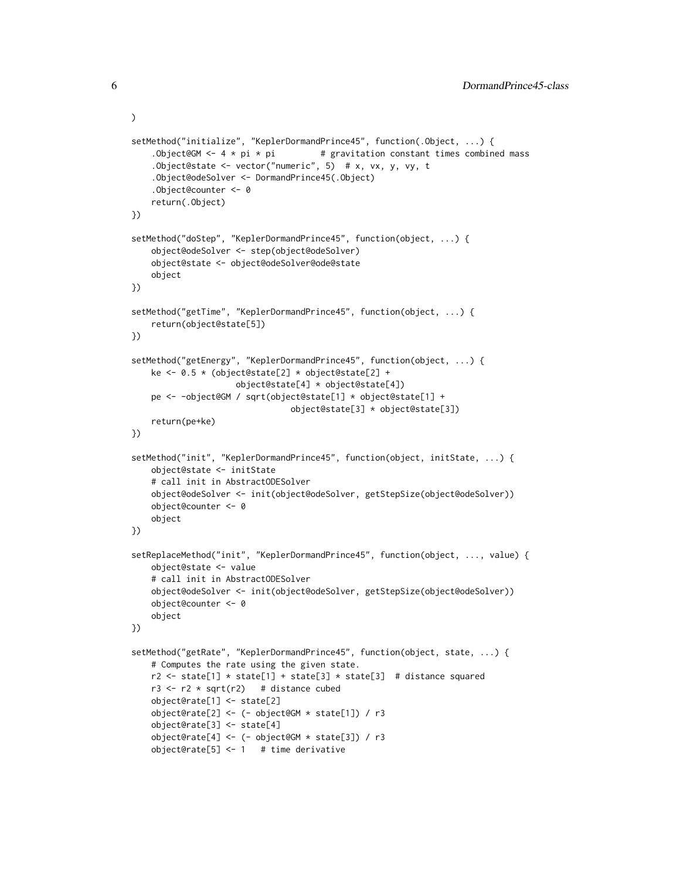```
setMethod("initialize", "KeplerDormandPrince45", function(.Object, ...) {
    .Object@GM <- 4 * pi * pi # gravitation constant times combined mass
    .Object@state <- vector("numeric", 5) # x, vx, y, vy, t
    .Object@odeSolver <- DormandPrince45(.Object)
    .Object@counter <- 0
    return(.Object)
})
setMethod("doStep", "KeplerDormandPrince45", function(object, ...) {
    object@odeSolver <- step(object@odeSolver)
    object@state <- object@odeSolver@ode@state
    object
})
setMethod("getTime", "KeplerDormandPrince45", function(object, ...) {
    return(object@state[5])
})
setMethod("getEnergy", "KeplerDormandPrince45", function(object, ...) {
    ke <- 0.5 * (object@state[2] * object@state[2] +
                     object@state[4] * object@state[4])
   pe <- -object@GM / sqrt(object@state[1] * object@state[1] +
                                object@state[3] * object@state[3])
    return(pe+ke)
})
setMethod("init", "KeplerDormandPrince45", function(object, initState, ...) {
    object@state <- initState
    # call init in AbstractODESolver
    object@odeSolver <- init(object@odeSolver, getStepSize(object@odeSolver))
    object@counter <- 0
    object
})
setReplaceMethod("init", "KeplerDormandPrince45", function(object, ..., value) {
    object@state <- value
    # call init in AbstractODESolver
    object@odeSolver <- init(object@odeSolver, getStepSize(object@odeSolver))
    object@counter <- 0
    object
})
setMethod("getRate", "KeplerDormandPrince45", function(object, state, ...) {
    # Computes the rate using the given state.
    r2 \le state[1] * state[1] + state[3] * state[3] # distance squared
   r3 \leftarrow r2 \star sqrt(r2) # distance cubed
    object@rate[1] <- state[2]
    object@rate[2] <- (- object@GM * state[1]) / r3
    object@rate[3] <- state[4]
    object@rate[4] <- (- object@GM * state[3]) / r3
    object@rate[5] <- 1 # time derivative
```
)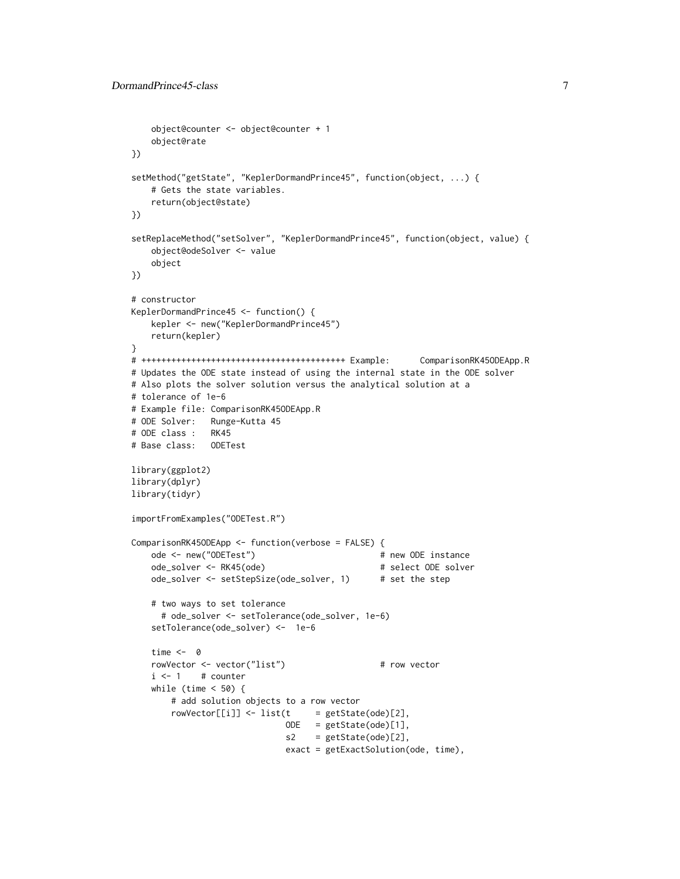```
object@counter <- object@counter + 1
   object@rate
})
setMethod("getState", "KeplerDormandPrince45", function(object, ...) {
   # Gets the state variables.
   return(object@state)
})
setReplaceMethod("setSolver", "KeplerDormandPrince45", function(object, value) {
   object@odeSolver <- value
   object
})
# constructor
KeplerDormandPrince45 <- function() {
   kepler <- new("KeplerDormandPrince45")
   return(kepler)
}
# +++++++++++++++++++++++++++++++++++++++++ Example: ComparisonRK45ODEApp.R
# Updates the ODE state instead of using the internal state in the ODE solver
# Also plots the solver solution versus the analytical solution at a
# tolerance of 1e-6
# Example file: ComparisonRK45ODEApp.R
# ODE Solver: Runge-Kutta 45
# ODE class : RK45
# Base class: ODETest
library(ggplot2)
library(dplyr)
library(tidyr)
importFromExamples("ODETest.R")
ComparisonRK45ODEApp <- function(verbose = FALSE) {
   ode <- new("ODETest") # new ODE instance
   ode_solver <- RK45(ode) # select ODE solver
   ode_solver <- setStepSize(ode_solver, 1) # set the step
   # two ways to set tolerance
     # ode_solver <- setTolerance(ode_solver, 1e-6)
   setTolerance(ode_solver) <- 1e-6
   time <- 0
   rowVector <- vector("list") # row vector
   i \leq 1 # counter
   while (time < 50) {
       # add solution objects to a row vector
       rowVector[[i]] <- list(t = getState(ode)[2],
                             ODE = getState(ode)[1],
                             s2 = getState(ode)[2],exact = getExactSolution(ode, time),
```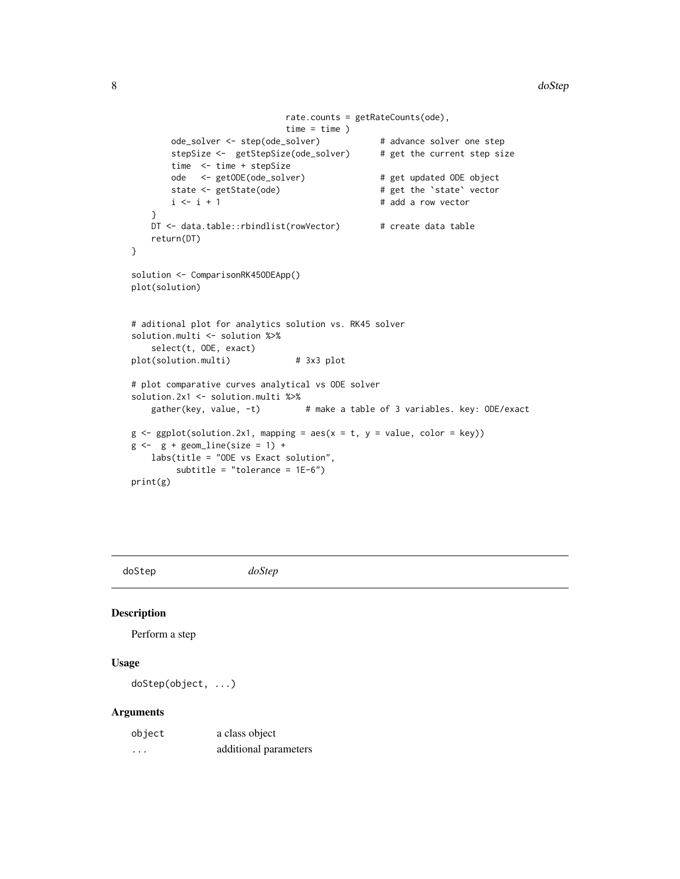```
rate.counts = getRateCounts(ode),
                             time = time )
       ode_solver <- step(ode_solver) # advance solver one step
       stepSize <- getStepSize(ode_solver) # get the current step size
       time <- time + stepSize
       ode <- getODE(ode_solver) # get updated ODE object
       state <- getState(ode) # get the 'state' vector
       i \leq i + 1 # add a row vector
   }
   DT <- data.table::rbindlist(rowVector) # create data table
   return(DT)
}
solution <- ComparisonRK45ODEApp()
plot(solution)
# aditional plot for analytics solution vs. RK45 solver
solution.multi <- solution %>%
   select(t, ODE, exact)
plot(solution.multi) # 3x3 plot
# plot comparative curves analytical vs ODE solver
solution.2x1 <- solution.multi %>%<br>gather(key, value, -t)
                               # make a table of 3 variables. key: ODE/exact
g \leftarrow ggplot(solution.2x1, mapping = aes(x = t, y = value, color = key))g \leftarrow g + geom\_line(size = 1) +labs(title = "ODE vs Exact solution",
        subtitle = "tolerance = 1E-6")
print(g)
```
doStep *doStep*

#### Description

Perform a step

### Usage

doStep(object, ...)

#### Arguments

| object | a class object        |
|--------|-----------------------|
| .      | additional parameters |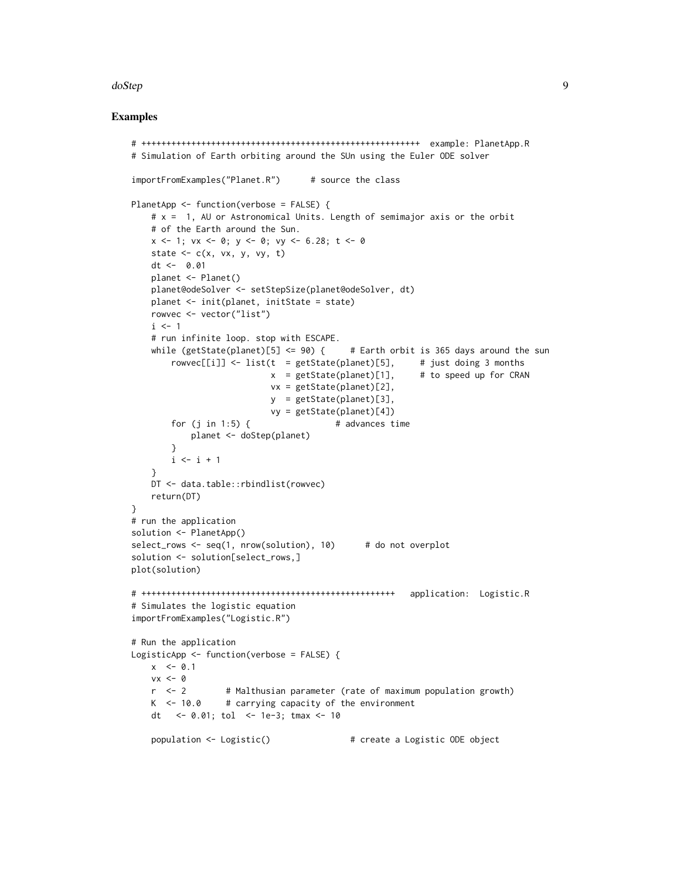#### doStep 9

```
# ++++++++++++++++++++++++++++++++++++++++++++++++++++++++ example: PlanetApp.R
# Simulation of Earth orbiting around the SUn using the Euler ODE solver
importFromExamples("Planet.R") # source the class
PlanetApp <- function(verbose = FALSE) {
   # x = 1, AU or Astronomical Units. Length of semimajor axis or the orbit
   # of the Earth around the Sun.
   x \le -1; vx \le -0; y \le -0; vy \le -6.28; t \le -0state \leq c(x, vx, y, vy, t)
   dt <- 0.01
   planet <- Planet()
   planet@odeSolver <- setStepSize(planet@odeSolver, dt)
   planet <- init(planet, initState = state)
   rowvec <- vector("list")
   i \leq -1# run infinite loop. stop with ESCAPE.
   while (getState(planet)[5] \leq 90) { # Earth orbit is 365 days around the sun
       rowvec[[i]] <- list(t = getState(planet)[5], \qquad # just doing 3 months
                           x = getState(planet)[1], # to speed up for CRAN
                           vx = getState(planet)[2],
                           y = getState(planet)[3],
                           vy = getState(planet)[4])
       for (j \text{ in } 1:5) { \qquad \qquad \# advances time
           planet <- doStep(planet)
       }
       i \leftarrow i + 1}
   DT <- data.table::rbindlist(rowvec)
   return(DT)
}
# run the application
solution <- PlanetApp()
select_rows <- seq(1, nrow(solution), 10) # do not overplot
solution <- solution[select_rows,]
plot(solution)
# +++++++++++++++++++++++++++++++++++++++++++++++++++ application: Logistic.R
# Simulates the logistic equation
importFromExamples("Logistic.R")
# Run the application
LogisticApp <- function(verbose = FALSE) {
   x \le -0.1vx <- 0
   r <- 2 # Malthusian parameter (rate of maximum population growth)
   K < -10.0 # carrying capacity of the environment
   dt <- 0.01; tol <- 1e-3; tmax <- 10
   population <- Logistic() # create a Logistic ODE object
```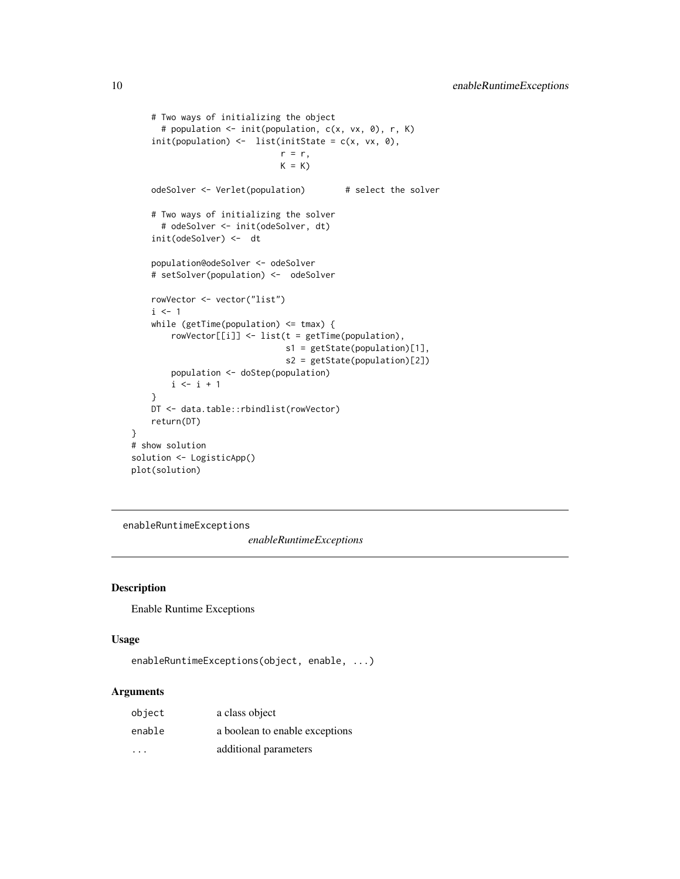```
# Two ways of initializing the object
     # population <- init(population, c(x, vx, 0), r, K)
    init(population) \leftarrow list(intState = c(x, vx, \theta),r = r,
                              K = KodeSolver <- Verlet(population) # select the solver
    # Two ways of initializing the solver
     # odeSolver <- init(odeSolver, dt)
    init(odeSolver) <- dt
    population@odeSolver <- odeSolver
    # setSolver(population) <- odeSolver
   rowVector <- vector("list")
   i \leq 1while (getTime(population) <= tmax) {
       rowVector[[i]] <- list(t = getTime(population),
                               s1 = getState(population)[1],
                               s2 = getState(population)[2])
       population <- doStep(population)
       i \le i + 1}
   DT <- data.table::rbindlist(rowVector)
   return(DT)
# show solution
solution <- LogisticApp()
plot(solution)
```
enableRuntimeExceptions

*enableRuntimeExceptions*

#### Description

}

Enable Runtime Exceptions

### Usage

```
enableRuntimeExceptions(object, enable, ...)
```
#### Arguments

| object                  | a class object                 |
|-------------------------|--------------------------------|
| enable                  | a boolean to enable exceptions |
| $\cdot$ $\cdot$ $\cdot$ | additional parameters          |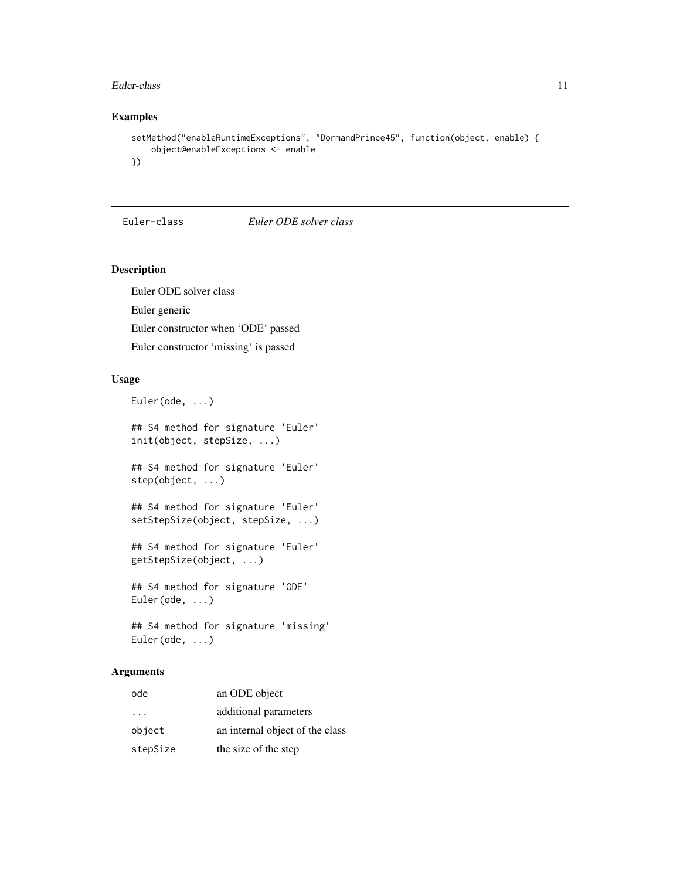#### <span id="page-10-0"></span>Euler-class 11

### Examples

```
setMethod("enableRuntimeExceptions", "DormandPrince45", function(object, enable) {
   object@enableExceptions <- enable
})
```
Euler-class *Euler ODE solver class*

### Description

Euler ODE solver class Euler generic Euler constructor when 'ODE' passed Euler constructor 'missing' is passed

### Usage

```
Euler(ode, ...)
```
## S4 method for signature 'Euler' init(object, stepSize, ...) ## S4 method for signature 'Euler' step(object, ...) ## S4 method for signature 'Euler' setStepSize(object, stepSize, ...) ## S4 method for signature 'Euler' getStepSize(object, ...) ## S4 method for signature 'ODE' Euler(ode, ...)

```
## S4 method for signature 'missing'
Euler(ode, ...)
```
### Arguments

| ode                     | an ODE object                   |
|-------------------------|---------------------------------|
| $\cdot$ $\cdot$ $\cdot$ | additional parameters           |
| object                  | an internal object of the class |
| stepSize                | the size of the step            |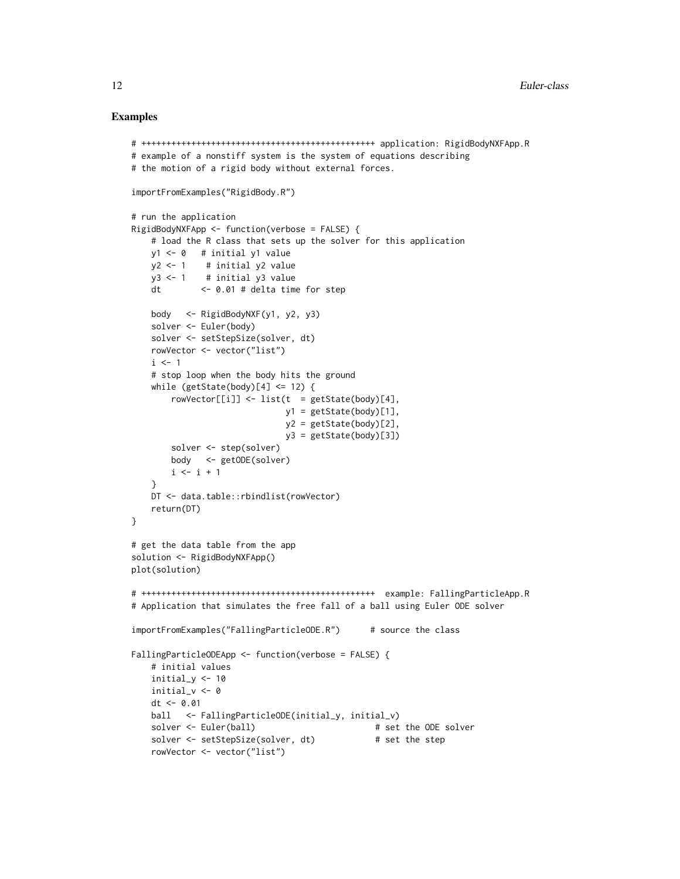```
# +++++++++++++++++++++++++++++++++++++++++++++++ application: RigidBodyNXFApp.R
# example of a nonstiff system is the system of equations describing
# the motion of a rigid body without external forces.
importFromExamples("RigidBody.R")
# run the application
RigidBodyNXFApp <- function(verbose = FALSE) {
   # load the R class that sets up the solver for this application
   y1 <- 0 # initial y1 value
   y2 < -1 # initial y2 value
   y3 < -1 # initial y3 value
   dt <- 0.01 # delta time for step
   body <- RigidBodyNXF(y1, y2, y3)
   solver <- Euler(body)
   solver <- setStepSize(solver, dt)
   rowVector <- vector("list")
   i \leq 1# stop loop when the body hits the ground
   while (getState(body)[4] \le 12) {
       rowVector[[i]] <- list(t = getState(body)[4],
                             y1 = getState(body)[1],
                              y2 = getState(body)[2],y3 = getState(body)[3])solver <- step(solver)
       body <- getODE(solver)
       i \leftarrow i + 1}
   DT <- data.table::rbindlist(rowVector)
   return(DT)
}
# get the data table from the app
solution <- RigidBodyNXFApp()
plot(solution)
# +++++++++++++++++++++++++++++++++++++++++++++++ example: FallingParticleApp.R
# Application that simulates the free fall of a ball using Euler ODE solver
importFromExamples("FallingParticleODE.R") # source the class
FallingParticleODEApp <- function(verbose = FALSE) {
   # initial values
   initial_y <- 10
   initial_v <- 0
   dt <- 0.01
   ball <- FallingParticleODE(initial_y, initial_v)
   solver <- Euler(ball) # set the ODE solver
   solver <- setStepSize(solver, dt) # set the step
   rowVector <- vector("list")
```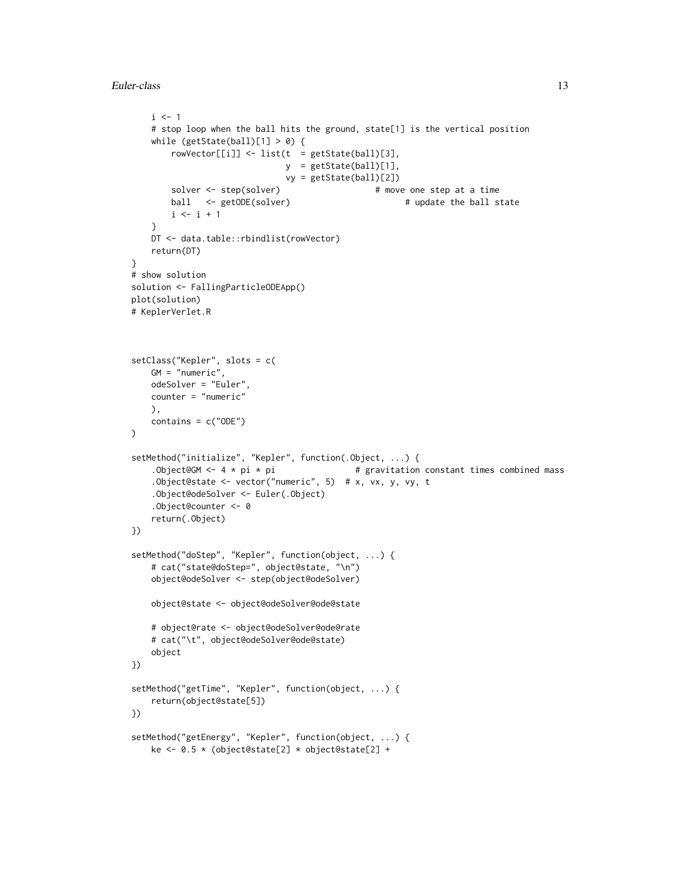```
i \leq -1# stop loop when the ball hits the ground, state[1] is the vertical position
   while (getState(ball)[1] > 0) {
       rowVector[[i]] \leftarrow list(t = getState(ball)[3],y = getState(ball)[1],
                              vy = getState(ball)[2])
       solver <- step(solver) # move one step at a time
       ball <- getODE(solver) \qquad # update the ball state
       i \leftarrow i + 1}
   DT <- data.table::rbindlist(rowVector)
   return(DT)
}
# show solution
solution <- FallingParticleODEApp()
plot(solution)
# KeplerVerlet.R
setClass("Kepler", slots = c(
   GM = "numeric",
   odeSolver = "Euler",
   counter = "numeric"
   ),
   contains = c("ODE"))
setMethod("initialize", "Kepler", function(.Object, ...) {
   .Object@GM <- 4 * pi * pi \qquad # gravitation constant times combined mass
    .Object@state <- vector("numeric", 5) # x, vx, y, vy, t
    .Object@odeSolver <- Euler(.Object)
   .Object@counter <- 0
   return(.Object)
})
setMethod("doStep", "Kepler", function(object, ...) {
   # cat("state@doStep=", object@state, "\n")
   object@odeSolver <- step(object@odeSolver)
   object@state <- object@odeSolver@ode@state
   # object@rate <- object@odeSolver@ode@rate
   # cat("\t", object@odeSolver@ode@state)
   object
})
setMethod("getTime", "Kepler", function(object, ...) {
   return(object@state[5])
})
setMethod("getEnergy", "Kepler", function(object, ...) {
   ke <- 0.5 * (object@state[2] * object@state[2] +
```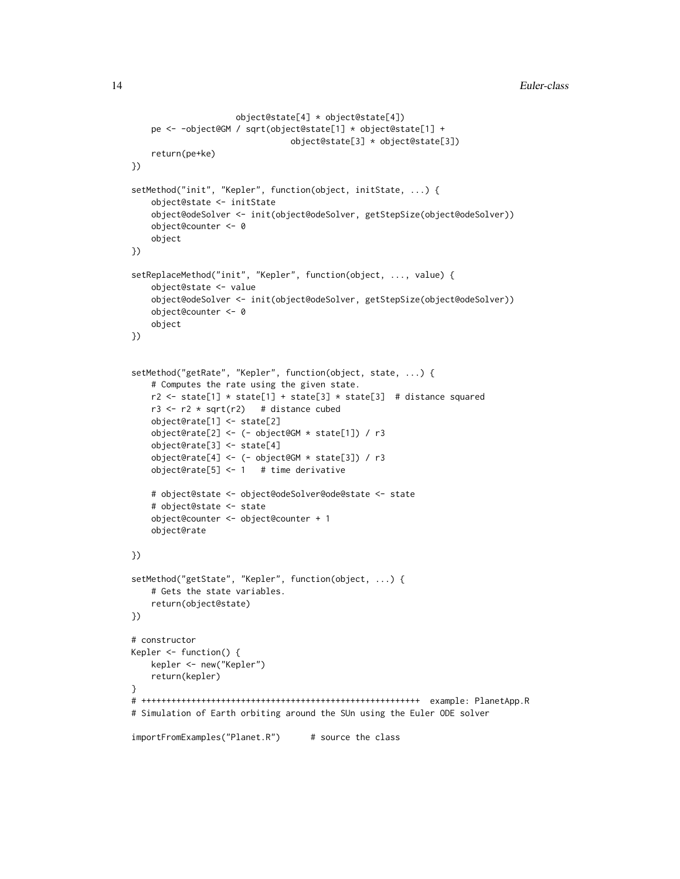```
object@state[4] * object@state[4])
    pe <- -object@GM / sqrt(object@state[1] * object@state[1] +
                                object@state[3] * object@state[3])
    return(pe+ke)
})
setMethod("init", "Kepler", function(object, initState, ...) {
    object@state <- initState
    object@odeSolver <- init(object@odeSolver, getStepSize(object@odeSolver))
    object@counter <- 0
    object
})
setReplaceMethod("init", "Kepler", function(object, ..., value) {
    object@state <- value
    object@odeSolver <- init(object@odeSolver, getStepSize(object@odeSolver))
    object@counter <- 0
    object
})
setMethod("getRate", "Kepler", function(object, state, ...) {
    # Computes the rate using the given state.
    r2 \leq - state[1] * state[1] + state[3] * state[3] # distance squared
   r3 \le r2 \times \sqrt{r2} # distance cubed
    object@rate[1] <- state[2]
    object@rate[2] <- (- object@GM * state[1]) / r3
    object@rate[3] <- state[4]
    object@rate[4] <- (- object@GM * state[3]) / r3
    object@rate[5] <- 1 # time derivative
    # object@state <- object@odeSolver@ode@state <- state
    # object@state <- state
    object@counter <- object@counter + 1
    object@rate
})
setMethod("getState", "Kepler", function(object, ...) {
    # Gets the state variables.
    return(object@state)
})
# constructor
Kepler <- function() {
   kepler <- new("Kepler")
    return(kepler)
}
# ++++++++++++++++++++++++++++++++++++++++++++++++++++++++ example: PlanetApp.R
# Simulation of Earth orbiting around the SUn using the Euler ODE solver
importFromExamples("Planet.R") # source the class
```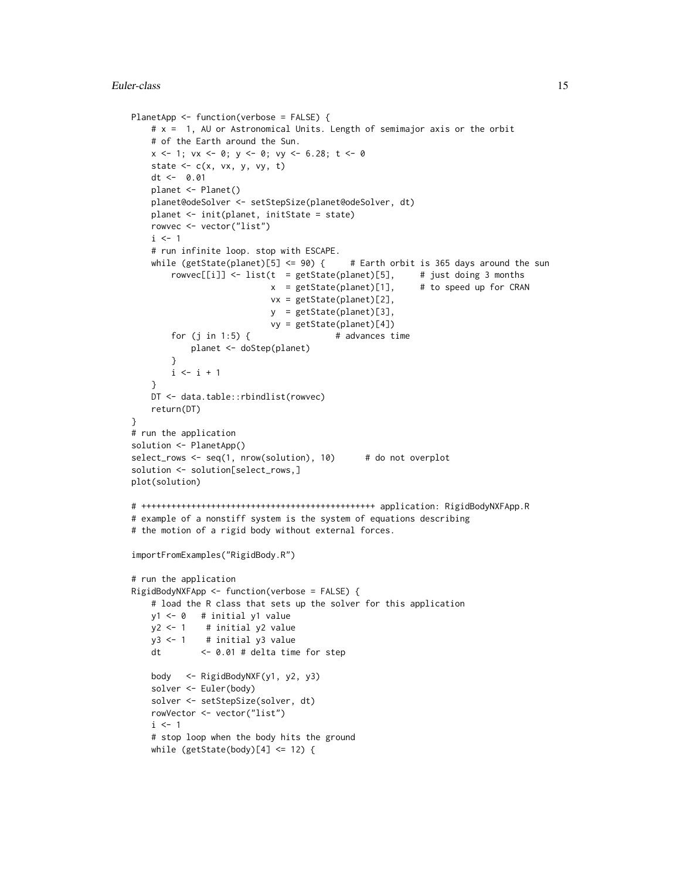```
PlanetApp <- function(verbose = FALSE) {
    # x = 1, AU or Astronomical Units. Length of semimajor axis or the orbit
   # of the Earth around the Sun.
   x \le -1; vx \le -0; y \le -0; vy \le -6.28; t \le -0state \leq c(x, vx, y, vy, t)
   dt <- 0.01
   planet <- Planet()
   planet@odeSolver <- setStepSize(planet@odeSolver, dt)
   planet <- init(planet, initState = state)
   rowvec <- vector("list")
   i \leq 1# run infinite loop. stop with ESCAPE.
   while (getState(planet)[5] \leq 90) { # Earth orbit is 365 days around the sun
        rowvec[[i]] \le list(t = getState(planet)[5], # just doing 3 months
                           x = getState(planet)[1], # to speed up for CRAN
                           vx = getState(planet)[2],
                           y = getState(planet)[3],
                           vy = getState(planet)[4])
       for (j \in i \in 1:5) { \# advances time
           planet <- doStep(planet)
       }
       i \leftarrow i + 1}
   DT <- data.table::rbindlist(rowvec)
   return(DT)
}
# run the application
solution <- PlanetApp()
select_rows <- seq(1, nrow(solution), 10) # do not overplot
solution <- solution[select_rows,]
plot(solution)
# +++++++++++++++++++++++++++++++++++++++++++++++ application: RigidBodyNXFApp.R
# example of a nonstiff system is the system of equations describing
# the motion of a rigid body without external forces.
importFromExamples("RigidBody.R")
# run the application
RigidBodyNXFApp <- function(verbose = FALSE) {
    # load the R class that sets up the solver for this application
   y1 <- 0 # initial y1 value
   y2 < -1 # initial y2 value
   y3 < -1 # initial y3 value
   dt <- 0.01 # delta time for step
   body <- RigidBodyNXF(y1, y2, y3)
   solver <- Euler(body)
   solver <- setStepSize(solver, dt)
   rowVector <- vector("list")
   i \leq 1# stop loop when the body hits the ground
   while (getState(body)[4] \le 12) {
```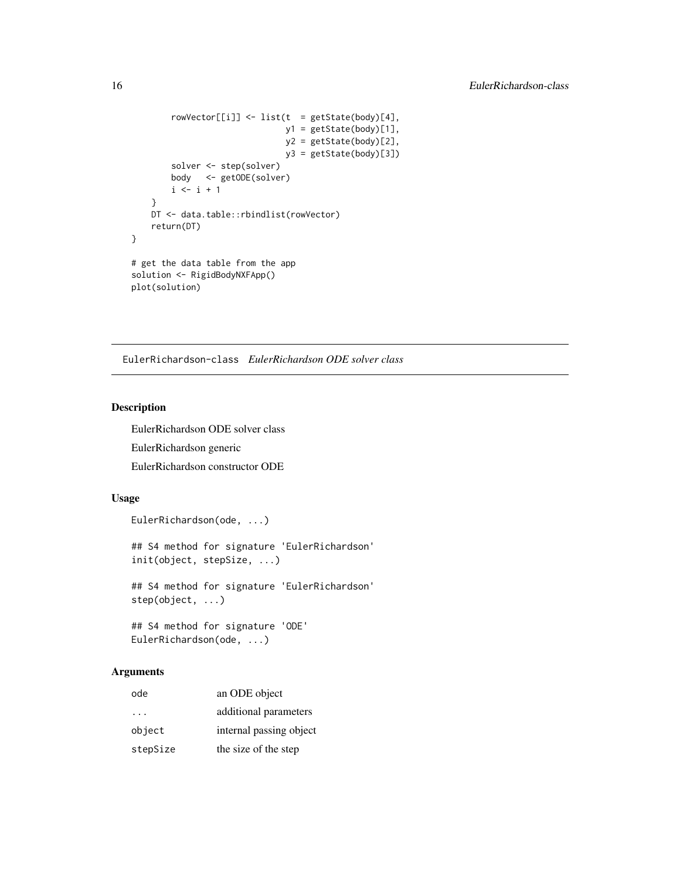```
rowVector[[i]] <- list(t = getState(body)[4],
                              y1 = getState(body)[1],
                              y2 = getState(body)[2],
                              y3 = getState(body)[3])solver <- step(solver)
       body <- getODE(solver)
       i \le i + 1}
   DT <- data.table::rbindlist(rowVector)
   return(DT)
}
# get the data table from the app
solution <- RigidBodyNXFApp()
plot(solution)
```
EulerRichardson-class *EulerRichardson ODE solver class*

#### Description

EulerRichardson ODE solver class EulerRichardson generic

EulerRichardson constructor ODE

# Usage

```
EulerRichardson(ode, ...)
## S4 method for signature 'EulerRichardson'
init(object, stepSize, ...)
## S4 method for signature 'EulerRichardson'
step(object, ...)
## S4 method for signature 'ODE'
```

```
EulerRichardson(ode, ...)
```
### Arguments

| ode                     | an ODE object           |
|-------------------------|-------------------------|
| $\cdot$ $\cdot$ $\cdot$ | additional parameters   |
| object                  | internal passing object |
| stepSize                | the size of the step    |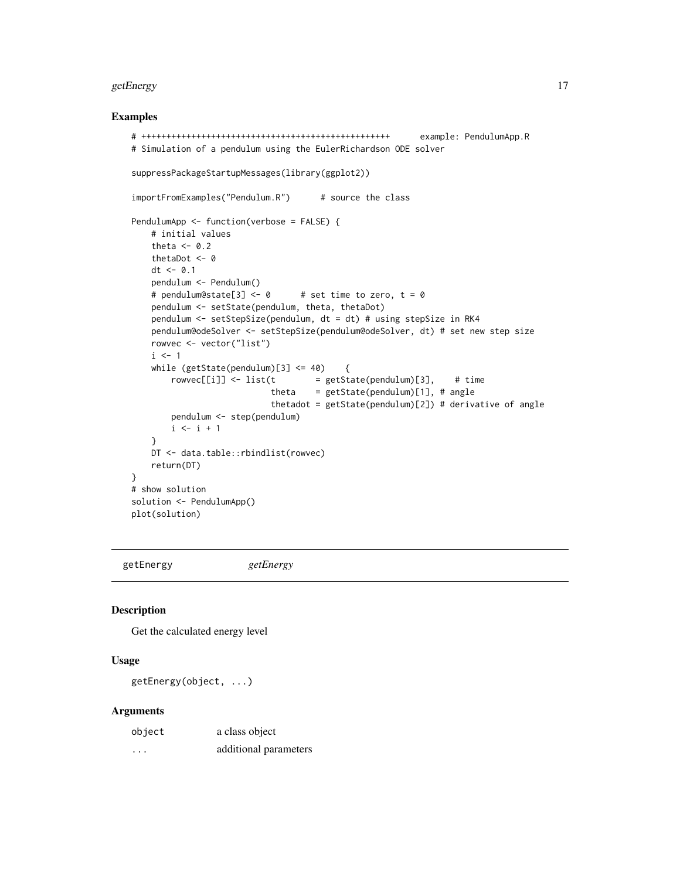#### <span id="page-16-0"></span>getEnergy and the state of the state of the state of the state of the state of the state of the state of the state of the state of the state of the state of the state of the state of the state of the state of the state of

#### Examples

```
# ++++++++++++++++++++++++++++++++++++++++++++++++++ example: PendulumApp.R
# Simulation of a pendulum using the EulerRichardson ODE solver
suppressPackageStartupMessages(library(ggplot2))
importFromExamples("Pendulum.R") # source the class
PendulumApp <- function(verbose = FALSE) {
   # initial values
   theta <- 0.2
   thetaDot <- 0
   dt <- 0.1
   pendulum <- Pendulum()
   # pendulum@state[3] <- 0 # set time to zero, t = 0pendulum <- setState(pendulum, theta, thetaDot)
   pendulum <- setStepSize(pendulum, dt = dt) # using stepSize in RK4
   pendulum@odeSolver <- setStepSize(pendulum@odeSolver, dt) # set new step size
   rowvec <- vector("list")
   i \leq 1while (getState(pendulum)[3] <= 40) {
       rowvec[[i]] \leftarrow list(t = getState(pendulum)[3], # timetheta = getState(pendulum)[1], # anglethetadot = getState(pendulum)[2]) # derivative of angle
       pendulum <- step(pendulum)
       i \leftarrow i + 1}
   DT <- data.table::rbindlist(rowvec)
   return(DT)
}
# show solution
solution <- PendulumApp()
plot(solution)
```
getEnergy *getEnergy*

### Description

Get the calculated energy level

### Usage

```
getEnergy(object, ...)
```
#### Arguments

| object | a class object        |
|--------|-----------------------|
| .      | additional parameters |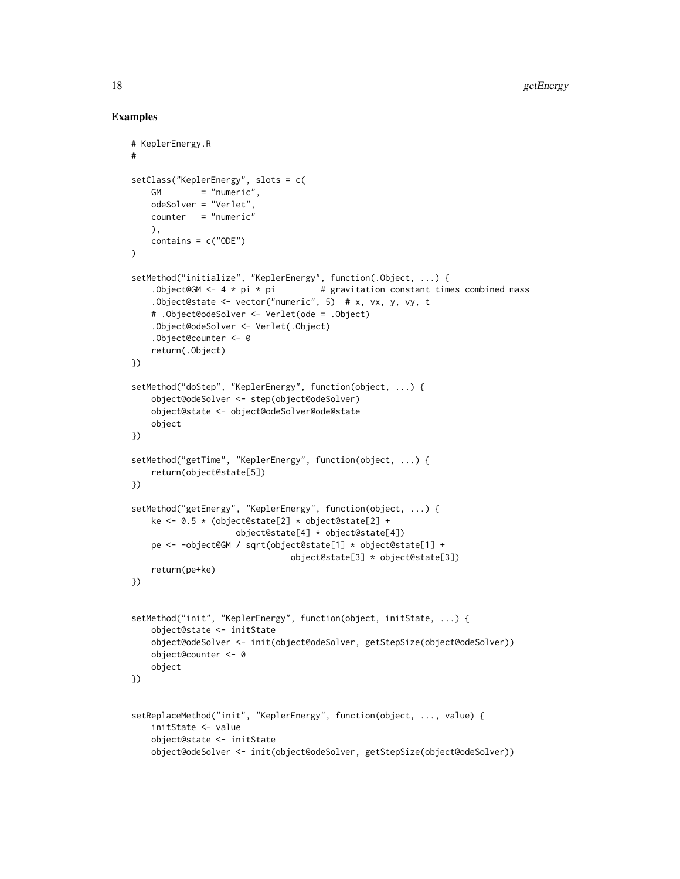```
# KeplerEnergy.R
#
setClass("KeplerEnergy", slots = c(
   GM = "numeric",
   odeSolver = "Verlet",
   counter = "numeric"
   ),
   contains = c("ODE"))
setMethod("initialize", "KeplerEnergy", function(.Object, ...) {
    .Object@GM <- 4 * pi * pi * pi * gravitation constant times combined mass.Object@state <- vector("numeric", 5) # x, vx, y, vy, t
    # .Object@odeSolver <- Verlet(ode = .Object)
    .Object@odeSolver <- Verlet(.Object)
    .Object@counter <- 0
    return(.Object)
})
setMethod("doStep", "KeplerEnergy", function(object, ...) {
    object@odeSolver <- step(object@odeSolver)
    object@state <- object@odeSolver@ode@state
    object
})
setMethod("getTime", "KeplerEnergy", function(object, ...) {
    return(object@state[5])
})
setMethod("getEnergy", "KeplerEnergy", function(object, ...) {
   ke <- 0.5 * (object@state[2] * object@state[2] +
                    object@state[4] * object@state[4])
    pe <- -object@GM / sqrt(object@state[1] * object@state[1] +
                               object@state[3] * object@state[3])
   return(pe+ke)
})
setMethod("init", "KeplerEnergy", function(object, initState, ...) {
    object@state <- initState
    object@odeSolver <- init(object@odeSolver, getStepSize(object@odeSolver))
   object@counter <- 0
    object
})
setReplaceMethod("init", "KeplerEnergy", function(object, ..., value) {
    initState <- value
    object@state <- initState
    object@odeSolver <- init(object@odeSolver, getStepSize(object@odeSolver))
```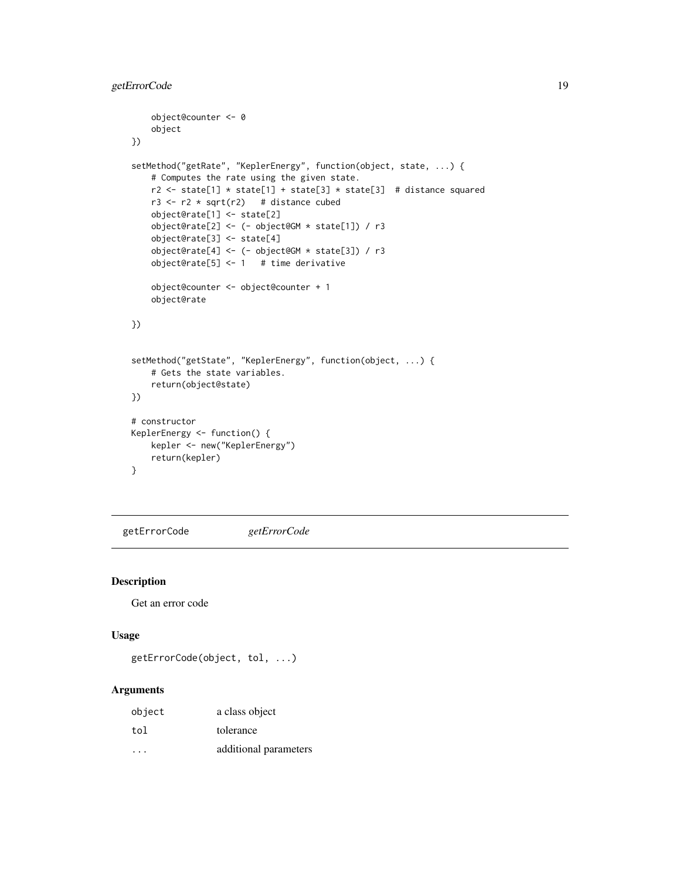```
object@counter <- 0
    object
})
setMethod("getRate", "KeplerEnergy", function(object, state, ...) {
    # Computes the rate using the given state.
   r2 \le state[1] * state[1] + state[3] * state[3] # distance squared
   r3 \le r2 \times \sqrt{sqrtr2} # distance cubed
    object@rate[1] <- state[2]
    object@rate[2] <- (- object@GM * state[1]) / r3
    object@rate[3] <- state[4]
    object@rate[4] <- (- object@GM * state[3]) / r3
    object@rate[5] <- 1 # time derivative
    object@counter <- object@counter + 1
    object@rate
})
setMethod("getState", "KeplerEnergy", function(object, ...) {
    # Gets the state variables.
    return(object@state)
})
# constructor
KeplerEnergy <- function() {
   kepler <- new("KeplerEnergy")
   return(kepler)
}
```
getErrorCode *getErrorCode*

### Description

Get an error code

#### Usage

```
getErrorCode(object, tol, ...)
```
### Arguments

| object  | a class object        |
|---------|-----------------------|
| tol     | tolerance             |
| $\cdot$ | additional parameters |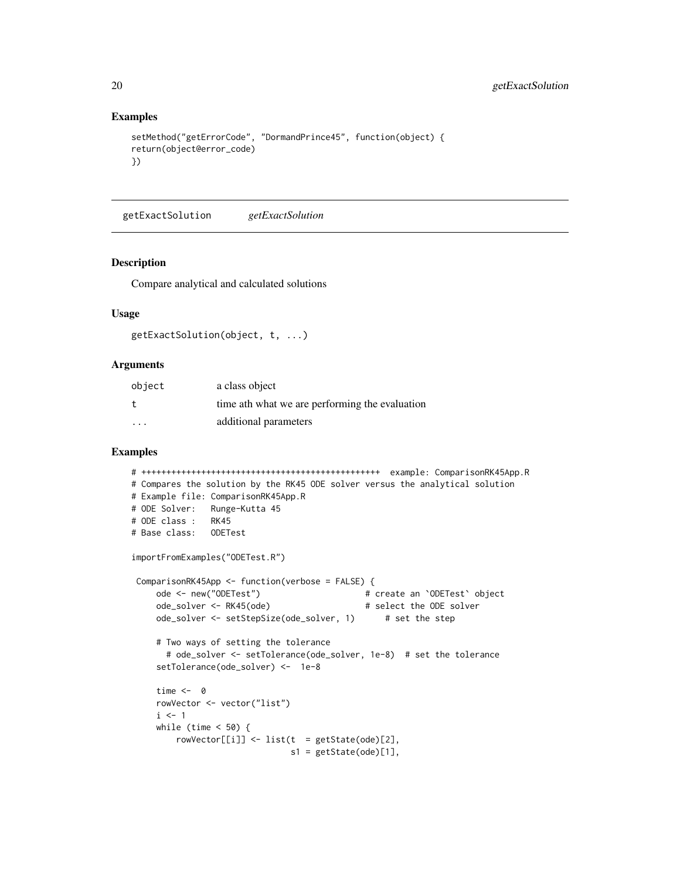### Examples

```
setMethod("getErrorCode", "DormandPrince45", function(object) {
return(object@error_code)
})
```
getExactSolution *getExactSolution*

#### Description

Compare analytical and calculated solutions

#### Usage

```
getExactSolution(object, t, ...)
```
### Arguments

| object  | a class object                                 |
|---------|------------------------------------------------|
| t.      | time ath what we are performing the evaluation |
| $\cdot$ | additional parameters                          |

```
# ++++++++++++++++++++++++++++++++++++++++++++++++ example: ComparisonRK45App.R
# Compares the solution by the RK45 ODE solver versus the analytical solution
# Example file: ComparisonRK45App.R
# ODE Solver: Runge-Kutta 45
# ODE class : RK45
# Base class: ODETest
importFromExamples("ODETest.R")
ComparisonRK45App <- function(verbose = FALSE) {
    ode <- new("ODETest") # create an `ODETest` object
    ode_solver <- RK45(ode) # select the ODE solver
    ode_solver <- setStepSize(ode_solver, 1) # set the step
    # Two ways of setting the tolerance
      # ode_solver <- setTolerance(ode_solver, 1e-8) # set the tolerance
    setTolerance(ode_solver) <- 1e-8
    time <- 0
    rowVector <- vector("list")
    i \leq 1while (time < 50) {
        rowVector[[i]] <- list(t = getState(ode)[2],
                              s1 = getState(ode)[1],
```
<span id="page-19-0"></span>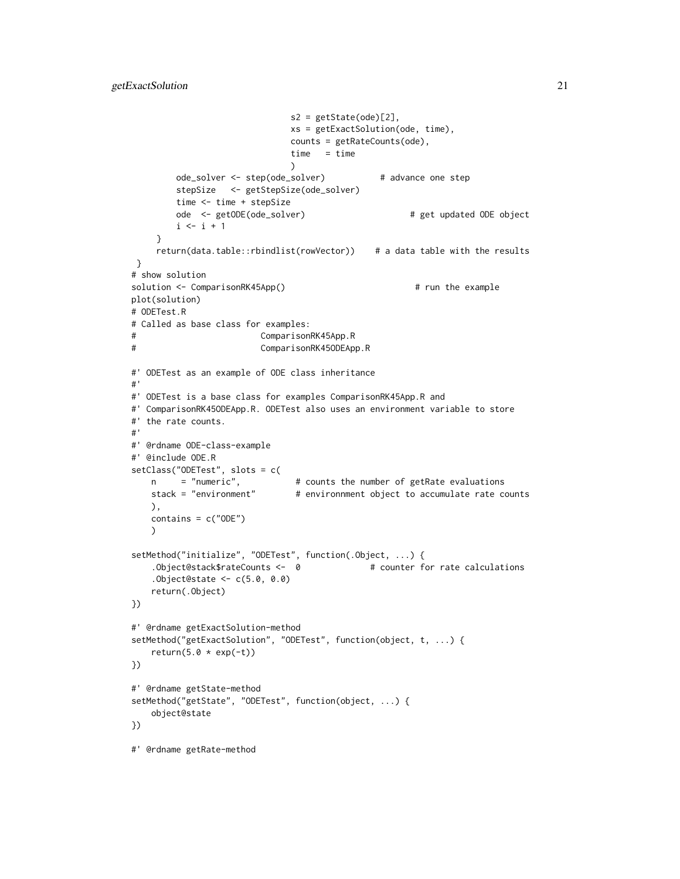```
s2 = getState(ode)[2],
                               xs = getExactSolution(ode, time),
                               counts = getRateCounts(ode),
                               time = time
                              \lambdaode_solver <- step(ode_solver) # advance one step
        stepSize <- getStepSize(ode_solver)
        time <- time + stepSize
        ode <- getODE(ode_solver) # get updated ODE object
        i \le i + 1}
     return(data.table::rbindlist(rowVector)) # a data table with the results
}
# show solution
solution <- ComparisonRK45App() # run the example
plot(solution)
# ODETest.R
# Called as base class for examples:
# ComparisonRK45App.R
# ComparisonRK45ODEApp.R
#' ODETest as an example of ODE class inheritance
#'
#' ODETest is a base class for examples ComparisonRK45App.R and
#' ComparisonRK45ODEApp.R. ODETest also uses an environment variable to store
#' the rate counts.
#'
#' @rdname ODE-class-example
#' @include ODE.R
setClass("ODETest", slots = c(
   n = "numeric", # counts the number of getRate evaluations<br>stack = "environment" # environnment object to accumulate rate c
                              # environnment object to accumulate rate counts
   ),
   contains = c("ODE")
   )
setMethod("initialize", "ODETest", function(.Object, ...) {
    .Object@stack$rateCounts <- 0   # counter for rate calculations
    .Object@state <- c(5.0, 0.0)
    return(.Object)
})
#' @rdname getExactSolution-method
setMethod("getExactSolution", "ODETest", function(object, t, ...) {
    return(5.0 * exp(-t))})
#' @rdname getState-method
setMethod("getState", "ODETest", function(object, ...) {
    object@state
})
#' @rdname getRate-method
```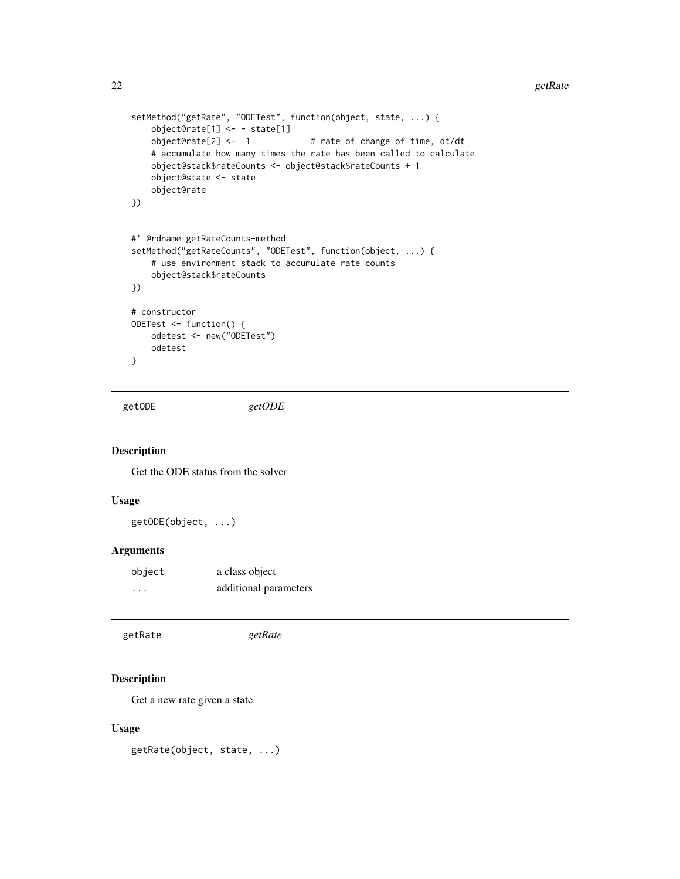```
setMethod("getRate", "ODETest", function(object, state, ...) {
    object@rate[1] <- - state[1]<br>object@rate[2] <- 1
                                     # rate of change of time, dt/dt
    # accumulate how many times the rate has been called to calculate
    object@stack$rateCounts <- object@stack$rateCounts + 1
    object@state <- state
    object@rate
})
#' @rdname getRateCounts-method
setMethod("getRateCounts", "ODETest", function(object, ...) {
    # use environment stack to accumulate rate counts
    object@stack$rateCounts
})
# constructor
ODETest <- function() {
    odetest <- new("ODETest")
    odetest
}
```
getODE *getODE*

### Description

Get the ODE status from the solver

### Usage

getODE(object, ...)

### Arguments

| object   | a class object        |
|----------|-----------------------|
| $\cdots$ | additional parameters |

| getRate | getRate |  |
|---------|---------|--|
|         |         |  |

### Description

Get a new rate given a state

### Usage

getRate(object, state, ...)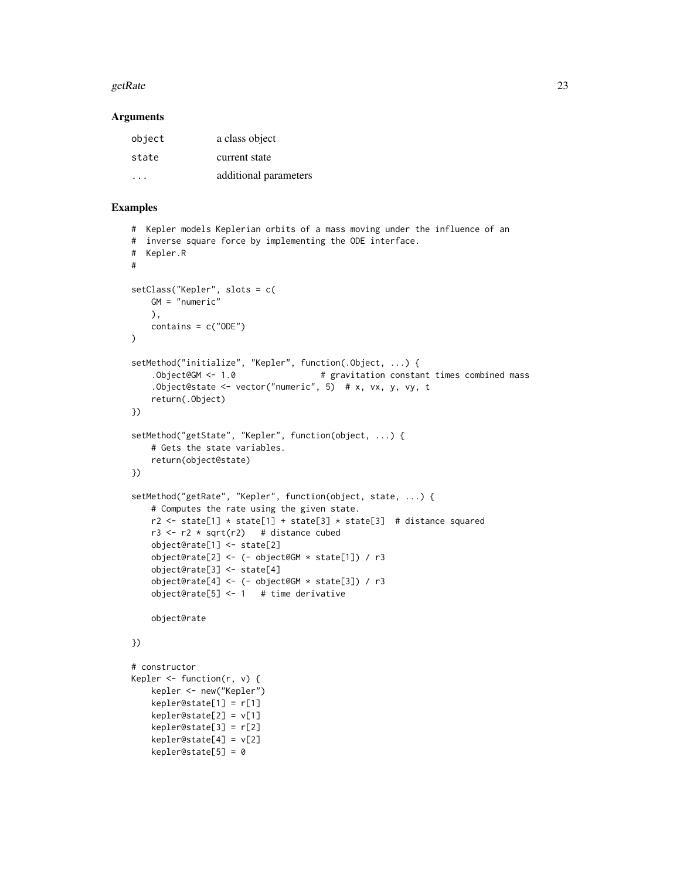#### getRate  $23$

#### **Arguments**

| object | a class object        |
|--------|-----------------------|
| state  | current state         |
| .      | additional parameters |

```
# Kepler models Keplerian orbits of a mass moving under the influence of an
# inverse square force by implementing the ODE interface.
# Kepler.R
#
setClass("Kepler", slots = c(
    GM = "numeric"
   ),
   contains = c("ODE")
\lambdasetMethod("initialize", "Kepler", function(.Object, ...) {
    .Object@GM <- 1.0 \qquad # gravitation constant times combined mass
    .Object@state <- vector("numeric", 5) # x, vx, y, vy, t
    return(.Object)
})
setMethod("getState", "Kepler", function(object, ...) {
    # Gets the state variables.
    return(object@state)
})
setMethod("getRate", "Kepler", function(object, state, ...) {
    # Computes the rate using the given state.
   r2 \le state[1] * state[1] + state[3] * state[3] # distance squared
    r3 \le r2 \times \sqrt{2} # distance cubed
    object@rate[1] <- state[2]
    object@rate[2] <- (- object@GM * state[1]) / r3
    object@rate[3] <- state[4]
    object@rate[4] <- (- object@GM * state[3]) / r3
    object@rate[5] <- 1 # time derivative
    object@rate
})
# constructor
Kepler \leq function(r, v) {
   kepler <- new("Kepler")
    kepler@state[1] = r[1]
    kepler@state[2] = v[1]
    kepler@state[3] = r[2]
    kepler@state[4] = v[2]kepler@state[5] = 0
```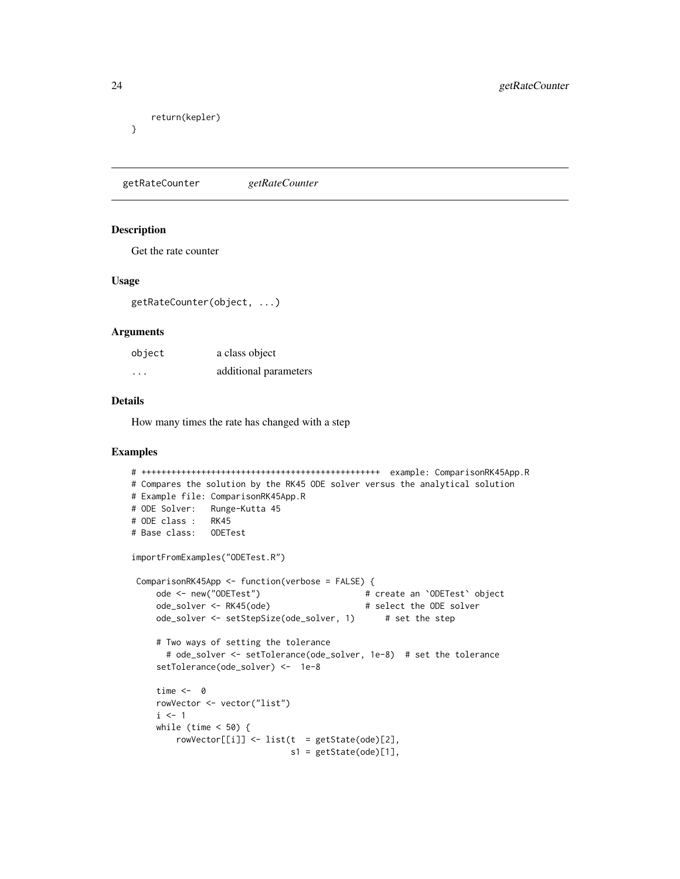```
return(kepler)
```
}

getRateCounter *getRateCounter*

#### Description

Get the rate counter

#### Usage

getRateCounter(object, ...)

#### Arguments

| object   | a class object        |
|----------|-----------------------|
| $\cdots$ | additional parameters |

#### Details

How many times the rate has changed with a step

```
# ++++++++++++++++++++++++++++++++++++++++++++++++ example: ComparisonRK45App.R
# Compares the solution by the RK45 ODE solver versus the analytical solution
# Example file: ComparisonRK45App.R
# ODE Solver: Runge-Kutta 45
# ODE class : RK45
# Base class: ODETest
importFromExamples("ODETest.R")
ComparisonRK45App <- function(verbose = FALSE) {
    ode <- new("ODETest") # create an `ODETest` object
    ode_solver <- RK45(ode) # select the ODE solver
    ode_solver <- setStepSize(ode_solver, 1) # set the step
    # Two ways of setting the tolerance
      # ode_solver <- setTolerance(ode_solver, 1e-8) # set the tolerance
    setTolerance(ode_solver) <- 1e-8
    time <- 0
    rowVector <- vector("list")
    i \leq 1while (time < 50) {
        rowVector[[i]] <- list(t = getState(ode)[2],
                              s1 = getState(ode)[1],
```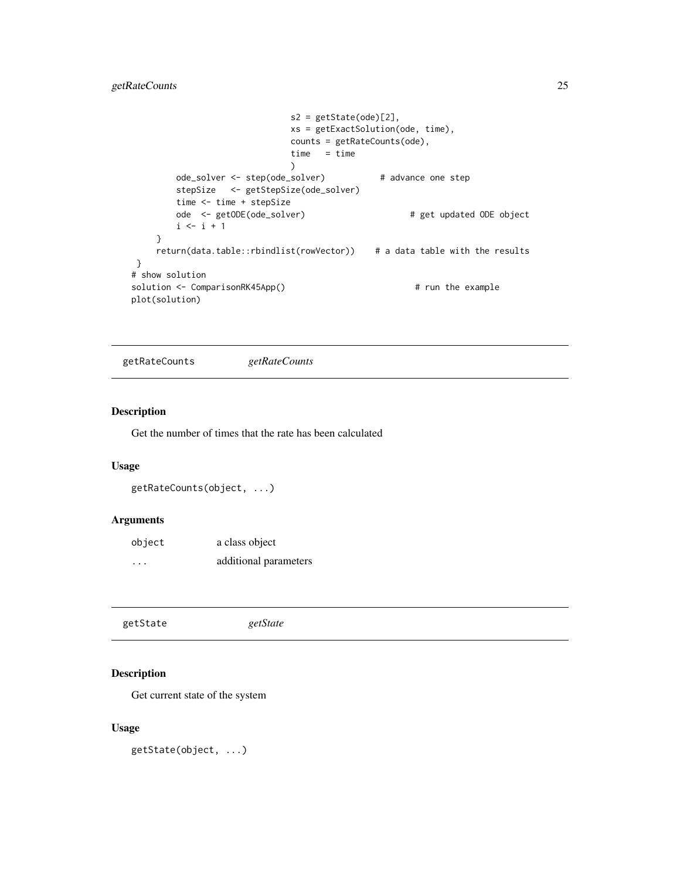### <span id="page-24-0"></span>getRateCounts 25

```
s2 = getState(ode)[2],xs = getExactSolution(ode, time),
                            counts = getRateCounts(ode),
                            time = time
                            \lambdaode_solver <- step(ode_solver) # advance one step
       stepSize <- getStepSize(ode_solver)
       time <- time + stepSize
       ode <- getODE(ode_solver) # get updated ODE object
       i \le i + 1}
    return(data.table::rbindlist(rowVector)) # a data table with the results
}
# show solution
solution <- ComparisonRK45App() # run the example
plot(solution)
```
getRateCounts *getRateCounts*

### Description

Get the number of times that the rate has been calculated

#### Usage

```
getRateCounts(object, ...)
```
### Arguments

| object   | a class object        |
|----------|-----------------------|
| $\cdots$ | additional parameters |

|  | getState | getState |  |  |  |
|--|----------|----------|--|--|--|
|--|----------|----------|--|--|--|

### Description

Get current state of the system

### Usage

getState(object, ...)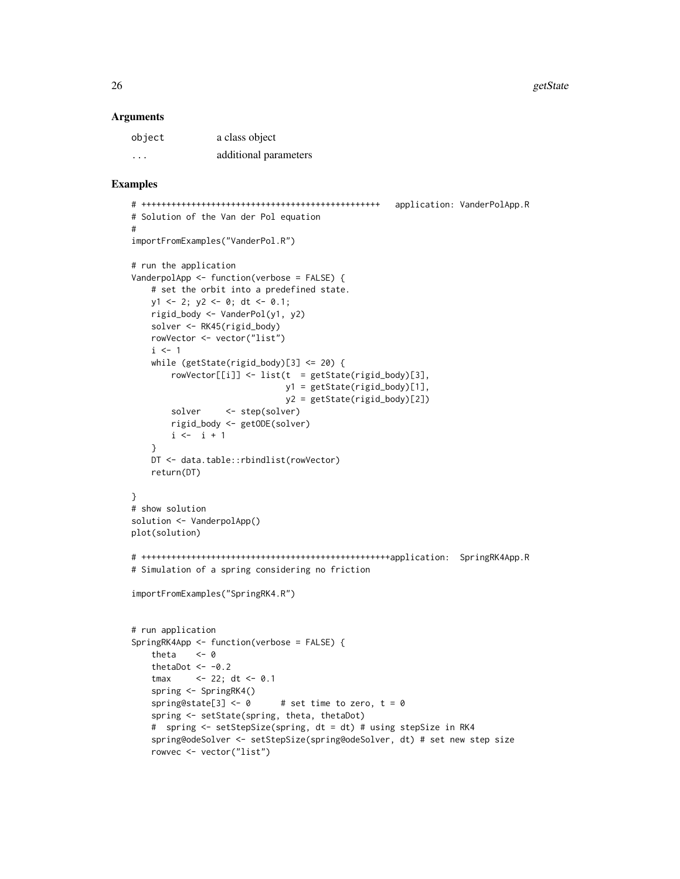26 getState and the set of the set of the set of the set of the set of the set of the set of the set of the set of the set of the set of the set of the set of the set of the set of the set of the set of the set of the set

#### **Arguments**

| object   | a class object        |
|----------|-----------------------|
| $\cdots$ | additional parameters |

```
# ++++++++++++++++++++++++++++++++++++++++++++++++ application: VanderPolApp.R
# Solution of the Van der Pol equation
#
importFromExamples("VanderPol.R")
# run the application
VanderpolApp <- function(verbose = FALSE) {
   # set the orbit into a predefined state.
   y1 \le -2; y2 \le -0; dt \le -0.1;
   rigid_body <- VanderPol(y1, y2)
   solver <- RK45(rigid_body)
   rowVector <- vector("list")
   i \leq 1while (getState(rigid_body)[3] \le 20) {
        rowVector[[i]] \leftarrow list(t = getState(rigid-body)[3],y1 = getState(rigid_body)[1],
                               y2 = getState(rigid_body)[2])
        solver <- step(solver)
       rigid_body <- getODE(solver)
       i \le -i + 1}
   DT <- data.table::rbindlist(rowVector)
   return(DT)
}
# show solution
solution <- VanderpolApp()
plot(solution)
# ++++++++++++++++++++++++++++++++++++++++++++++++++application: SpringRK4App.R
# Simulation of a spring considering no friction
importFromExamples("SpringRK4.R")
# run application
SpringRK4App <- function(verbose = FALSE) {
   theta \leftarrow \emptysetthetaDot <-0.2tmax <- 22; dt <- 0.1
    spring <- SpringRK4()
    spring@state[3] <- \theta # set time to zero, t = \thetaspring <- setState(spring, theta, thetaDot)
    # spring <- setStepSize(spring, dt = dt) # using stepSize in RK4
   spring@odeSolver <- setStepSize(spring@odeSolver, dt) # set new step size
   rowvec <- vector("list")
```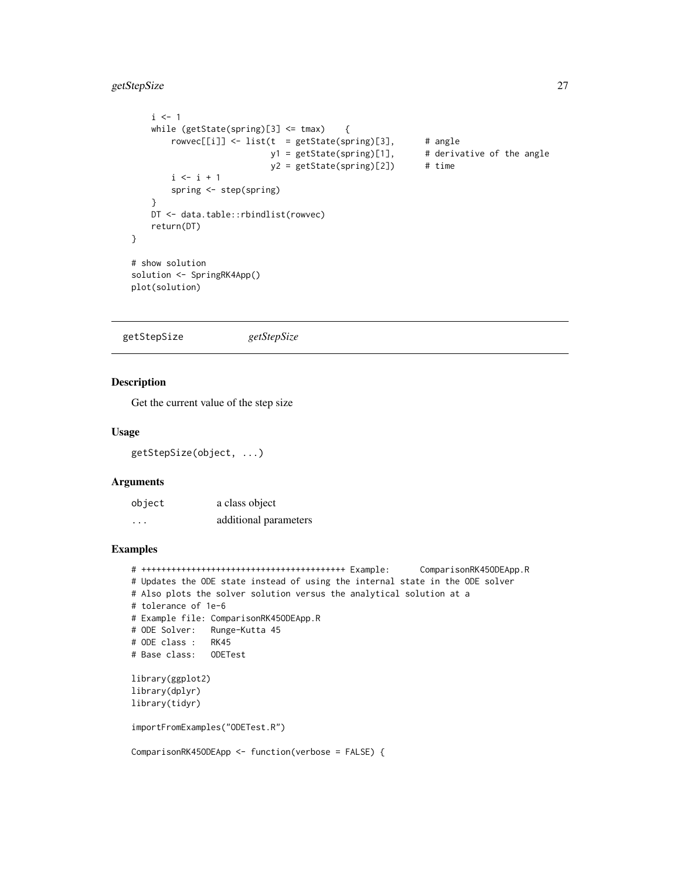### <span id="page-26-0"></span>getStepSize 27

```
i \leq 1while (getState(spring)[3] <= tmax) {
       rowvec[[i]] <- list(t = getState(spring)[3], # angley1 = getState(spring)[1], # derivative of the angle
                          y2 = getState(spring)[2]) # time
       i \leq i + 1spring <- step(spring)
   }
   DT <- data.table::rbindlist(rowvec)
   return(DT)
}
# show solution
solution <- SpringRK4App()
plot(solution)
```
getStepSize *getStepSize*

### Description

Get the current value of the step size

#### Usage

```
getStepSize(object, ...)
```
### Arguments

| object | a class object        |
|--------|-----------------------|
| .      | additional parameters |

### Examples

```
# +++++++++++++++++++++++++++++++++++++++++ Example: ComparisonRK45ODEApp.R
# Updates the ODE state instead of using the internal state in the ODE solver
# Also plots the solver solution versus the analytical solution at a
# tolerance of 1e-6
# Example file: ComparisonRK45ODEApp.R
# ODE Solver: Runge-Kutta 45
# ODE class : RK45
# Base class: ODETest
library(ggplot2)
library(dplyr)
library(tidyr)
importFromExamples("ODETest.R")
```
ComparisonRK45ODEApp <- function(verbose = FALSE) {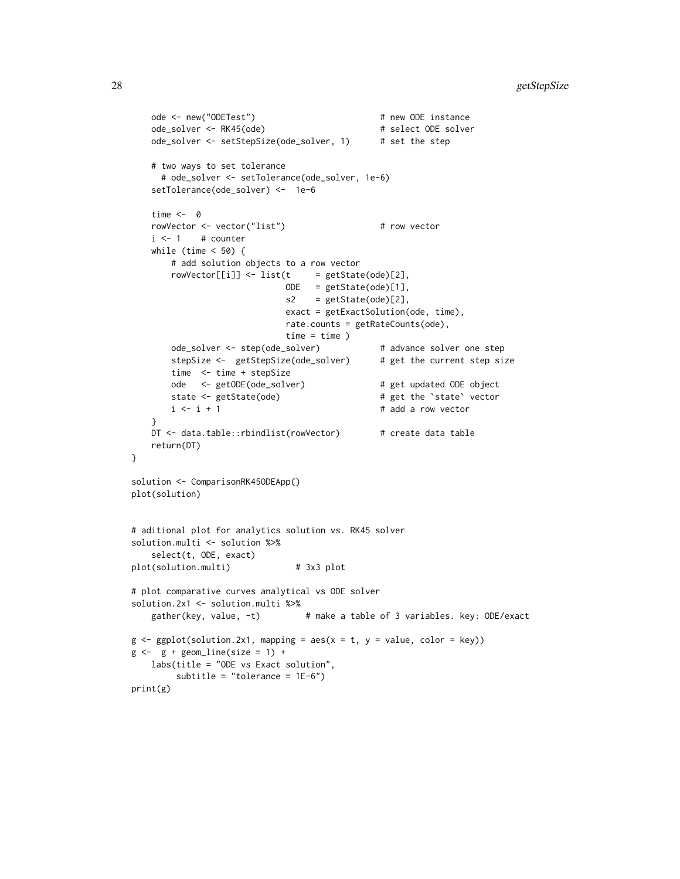```
ode <- new("ODETest") # new ODE instance
   ode_solver <- RK45(ode) # select ODE solver
   ode_solver <- setStepSize(ode_solver, 1) # set the step
   # two ways to set tolerance
    # ode_solver <- setTolerance(ode_solver, 1e-6)
   setTolerance(ode_solver) <- 1e-6
   time <- 0
   rowVector <- vector("list") # row vector
   i \leq 1 # counter
   while (time < 50) {
       # add solution objects to a row vector
       rowVector[[i]] <- list(t = getState(ode)[2],
                           ODE = getState(ode)[1],
                           s2 = getState(ode)[2],
                           exact = getExactSolution(ode, time),
                           rate.counts = getRateCounts(ode),
                           time = time)ode_solver <- step(ode_solver) # advance solver one step
       stepSize <- getStepSize(ode_solver) # get the current step size
       time <- time + stepSize
      ode <- getODE(ode_solver) # get updated ODE object
      state <- getState(ode) \qquad # get the `state` vector
      i \le i + 1 # add a row vector
   }
   DT <- data.table::rbindlist(rowVector) # create data table
   return(DT)
}
solution <- ComparisonRK45ODEApp()
plot(solution)
# aditional plot for analytics solution vs. RK45 solver
solution.multi <- solution %>%
   select(t, ODE, exact)
plot(solution.multi) # 3x3 plot
# plot comparative curves analytical vs ODE solver
solution.2x1 <- solution.multi %>%
   gather(key, value, -t) # make a table of 3 variables. key: ODE/exact
g \leftarrow ggplot(solution.2x1, mapping = aes(x = t, y = value, color = key))g \leftarrow g + geom\_line(size = 1) +labs(title = "ODE vs Exact solution",
       subtitle = "tolerance = 1E-6")
print(g)
```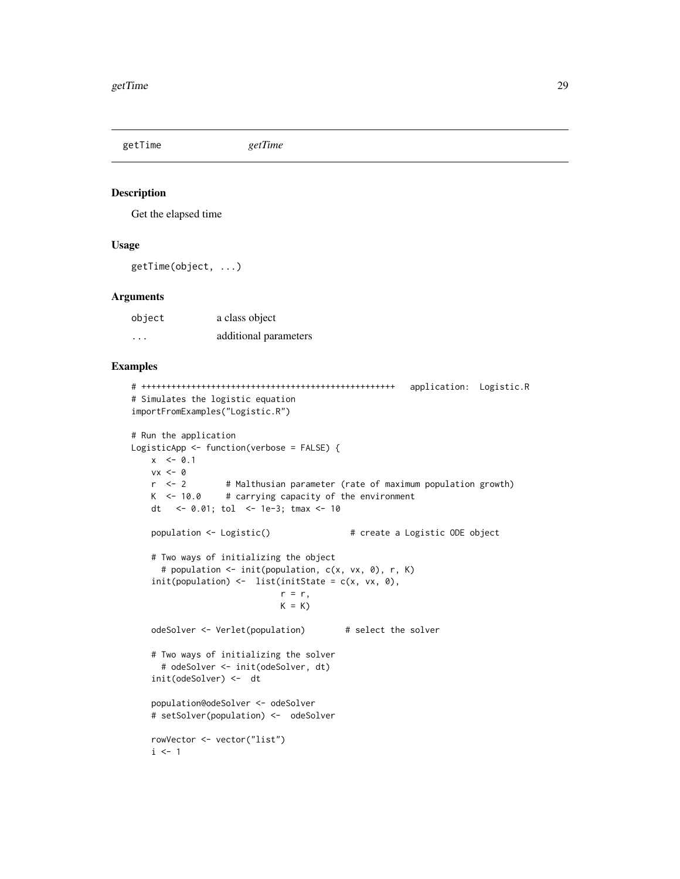<span id="page-28-0"></span>getTime *getTime*

### Description

Get the elapsed time

### Usage

getTime(object, ...)

#### Arguments

| object | a class object        |
|--------|-----------------------|
| .      | additional parameters |

```
# +++++++++++++++++++++++++++++++++++++++++++++++++++ application: Logistic.R
# Simulates the logistic equation
importFromExamples("Logistic.R")
# Run the application
LogisticApp <- function(verbose = FALSE) {
   x \le -0.1vx < - \emptysetr <- 2 # Malthusian parameter (rate of maximum population growth)
   K < -10.0 # carrying capacity of the environment
   dt <- 0.01; tol <- 1e-3; tmax <- 10
   population <- Logistic() # create a Logistic ODE object
   # Two ways of initializing the object
     # population <- init(population, c(x, vx, 0), r, K)
   init(population) \leftarrow list(intState = c(x, vx, 0),r = r,
                            K = KodeSolver <- Verlet(population) # select the solver
   # Two ways of initializing the solver
     # odeSolver <- init(odeSolver, dt)
   init(odeSolver) <- dt
   population@odeSolver <- odeSolver
   # setSolver(population) <- odeSolver
   rowVector <- vector("list")
   i \leq 1
```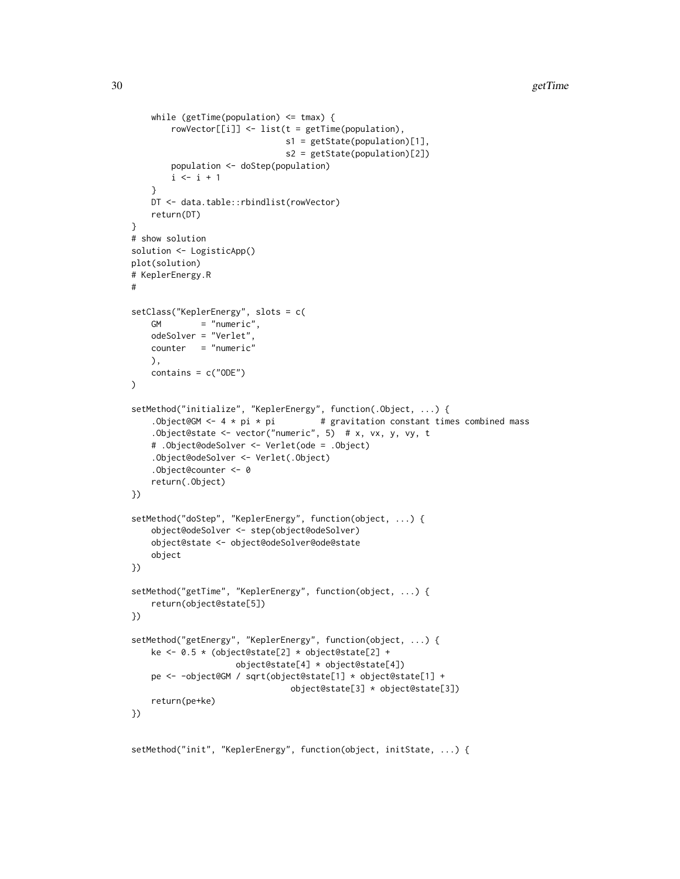```
while (getTime(population) \leq tmax) {
        rowVector[[i]] <- list(t = getTime(population),
                               s1 = getState(population)[1],
                               s2 = getState(population)[2])
        population <- doStep(population)
        i \leftarrow i + 1}
    DT <- data.table::rbindlist(rowVector)
    return(DT)
}
# show solution
solution <- LogisticApp()
plot(solution)
# KeplerEnergy.R
#
setClass("KeplerEnergy", slots = c(
    GM = "numeric",
    odeSolver = "Verlet",
    counter = "numeric"
   ),
    contains = c("ODE")\mathcal{L}setMethod("initialize", "KeplerEnergy", function(.Object, ...) {
    .Object@GM <- 4 * pi * pi \qquad # gravitation constant times combined mass
    .Object@state <- vector("numeric", 5) # x, vx, y, vy, t
    # .Object@odeSolver <- Verlet(ode = .Object)
    .Object@odeSolver <- Verlet(.Object)
    .Object@counter <- 0
    return(.Object)
})
setMethod("doStep", "KeplerEnergy", function(object, ...) {
    object@odeSolver <- step(object@odeSolver)
    object@state <- object@odeSolver@ode@state
    object
})
setMethod("getTime", "KeplerEnergy", function(object, ...) {
    return(object@state[5])
})
setMethod("getEnergy", "KeplerEnergy", function(object, ...) {
    ke <- 0.5 * (object@state[2] * object@state[2] +
                     object@state[4] * object@state[4])
    pe <- -object@GM / sqrt(object@state[1] * object@state[1] +
                                object@state[3] * object@state[3])
    return(pe+ke)
})
```
setMethod("init", "KeplerEnergy", function(object, initState, ...) {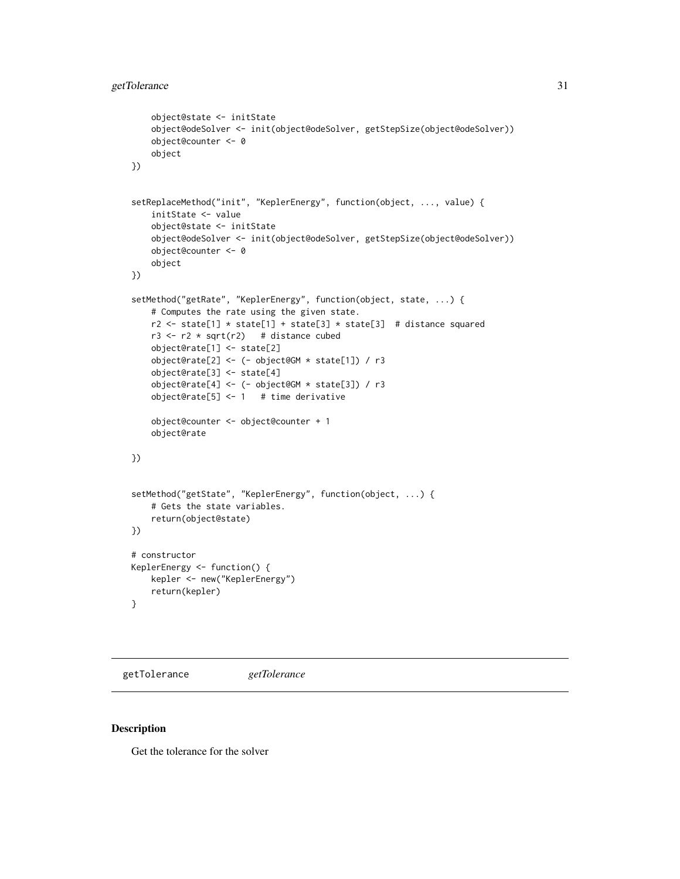```
object@state <- initState
    object@odeSolver <- init(object@odeSolver, getStepSize(object@odeSolver))
    object@counter <- 0
    object
})
setReplaceMethod("init", "KeplerEnergy", function(object, ..., value) {
    initState <- value
    object@state <- initState
    object@odeSolver <- init(object@odeSolver, getStepSize(object@odeSolver))
    object@counter <- 0
    object
})
setMethod("getRate", "KeplerEnergy", function(object, state, ...) {
    # Computes the rate using the given state.
   r2 <- state[1] * state[1] + state[3] * state[3] # distance squared
   r3 \le r2 \times \sqrt{3} = # distance cubed
    object@rate[1] <- state[2]
    object@rate[2] <- (- object@GM * state[1]) / r3
    object@rate[3] <- state[4]
    object@rate[4] <- (- object@GM * state[3]) / r3
    object@rate[5] <- 1 # time derivative
    object@counter <- object@counter + 1
    object@rate
})
setMethod("getState", "KeplerEnergy", function(object, ...) {
    # Gets the state variables.
    return(object@state)
})
# constructor
KeplerEnergy <- function() {
    kepler <- new("KeplerEnergy")
    return(kepler)
}
```
getTolerance *getTolerance*

#### Description

Get the tolerance for the solver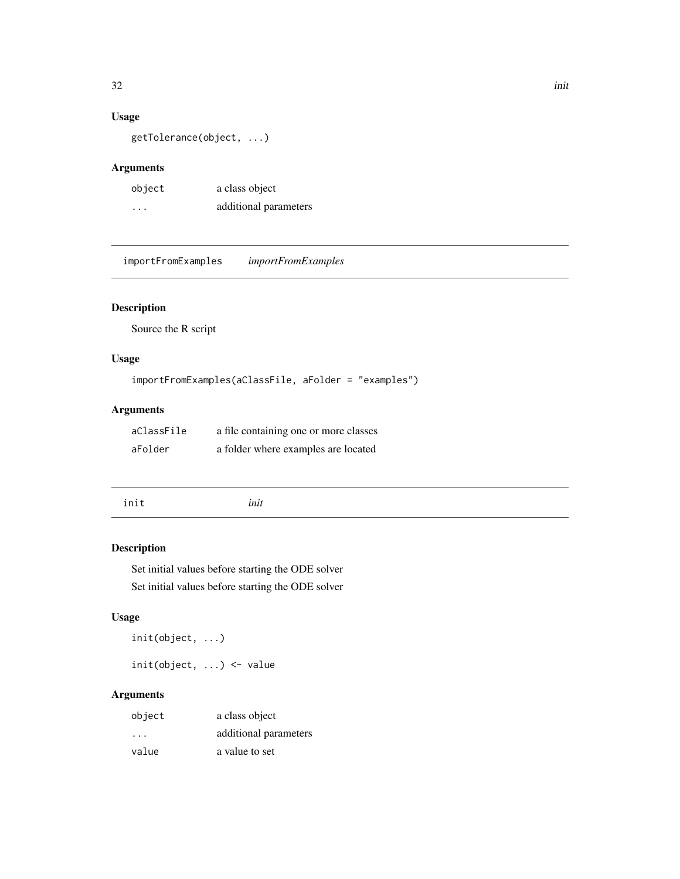### Usage

getTolerance(object, ...)

### Arguments

| object   | a class object        |
|----------|-----------------------|
| $\cdots$ | additional parameters |

importFromExamples *importFromExamples*

### Description

Source the R script

### Usage

```
importFromExamples(aClassFile, aFolder = "examples")
```
### Arguments

| aClassFile | a file containing one or more classes |
|------------|---------------------------------------|
| aFolder    | a folder where examples are located   |

init *init*

### Description

Set initial values before starting the ODE solver Set initial values before starting the ODE solver

### Usage

init(object, ...)

init(object, ...) <- value

### Arguments

| object                  | a class object        |
|-------------------------|-----------------------|
| $\cdot$ $\cdot$ $\cdot$ | additional parameters |
| value                   | a value to set        |

<span id="page-31-0"></span> $32$  initial  $32$  in  $\frac{1}{2}$  in  $\frac{1}{2}$  in  $\frac{1}{2}$  in  $\frac{1}{2}$  in  $\frac{1}{2}$  in  $\frac{1}{2}$  in  $\frac{1}{2}$  in  $\frac{1}{2}$  in  $\frac{1}{2}$  in  $\frac{1}{2}$  in  $\frac{1}{2}$  in  $\frac{1}{2}$  in  $\frac{1}{2}$  in  $\frac{1}{2}$  in  $\frac{1}{2}$  in  $\frac{1$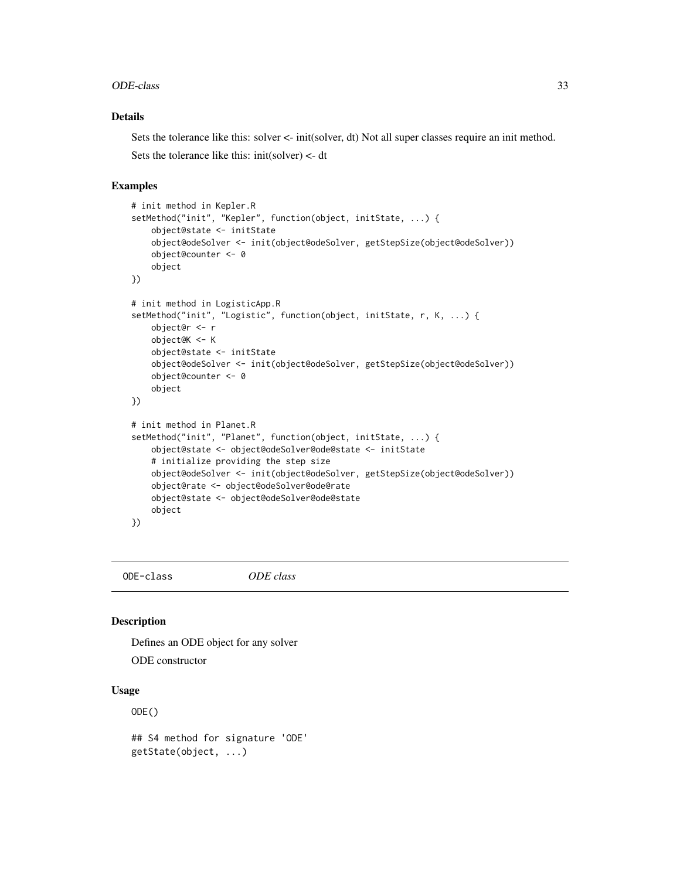#### <span id="page-32-0"></span>ODE-class 33

### Details

Sets the tolerance like this: solver <- init(solver, dt) Not all super classes require an init method. Sets the tolerance like this: init(solver) <- dt

#### Examples

```
# init method in Kepler.R
setMethod("init", "Kepler", function(object, initState, ...) {
    object@state <- initState
    object@odeSolver <- init(object@odeSolver, getStepSize(object@odeSolver))
   object@counter <- 0
    object
})
# init method in LogisticApp.R
setMethod("init", "Logistic", function(object, initState, r, K, ...) {
   object@r <- r
   object@K <- K
   object@state <- initState
   object@odeSolver <- init(object@odeSolver, getStepSize(object@odeSolver))
   object@counter <- 0
    object
})
# init method in Planet.R
setMethod("init", "Planet", function(object, initState, ...) {
    object@state <- object@odeSolver@ode@state <- initState
    # initialize providing the step size
   object@odeSolver <- init(object@odeSolver, getStepSize(object@odeSolver))
   object@rate <- object@odeSolver@ode@rate
    object@state <- object@odeSolver@ode@state
   object
})
```
ODE-class *ODE class*

### Description

Defines an ODE object for any solver

ODE constructor

#### Usage

 $ODE()$ 

## S4 method for signature 'ODE' getState(object, ...)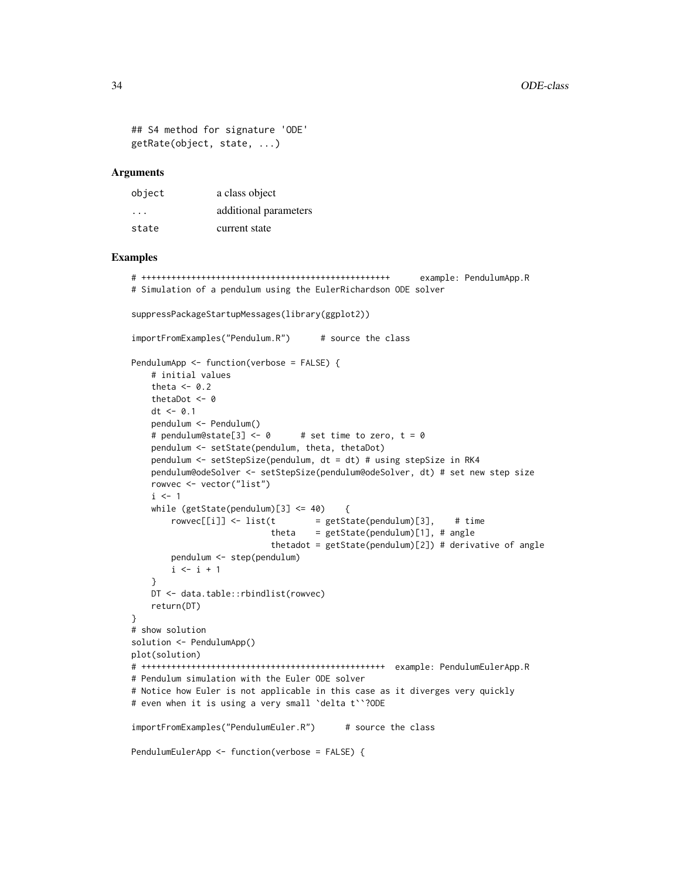```
## S4 method for signature 'ODE'
getRate(object, state, ...)
```
#### Arguments

| object | a class object        |
|--------|-----------------------|
| .      | additional parameters |
| state  | current state         |

```
# ++++++++++++++++++++++++++++++++++++++++++++++++++ example: PendulumApp.R
# Simulation of a pendulum using the EulerRichardson ODE solver
suppressPackageStartupMessages(library(ggplot2))
importFromExamples("Pendulum.R") # source the class
PendulumApp <- function(verbose = FALSE) {
    # initial values
    theta <- 0.2
   thetaDot <- 0
   dt < -0.1pendulum <- Pendulum()
   # pendulum@state[3] <- 0 # set time to zero, t = 0
   pendulum <- setState(pendulum, theta, thetaDot)
   pendulum <- setStepSize(pendulum, dt = dt) # using stepSize in RK4
   pendulum@odeSolver <- setStepSize(pendulum@odeSolver, dt) # set new step size
   rowvec <- vector("list")
   i \leq 1while (getState(pendulum)[3] \le 40 {
       rowvec[[i]] \leftarrow list(t = getState(pendulum)[3], # timetheta = getState(pendulum)[1], # anglethetadot = getState(pendulum)[2]) # derivative of angle
       pendulum <- step(pendulum)
       i \leftarrow i + 1}
   DT <- data.table::rbindlist(rowvec)
   return(DT)
}
# show solution
solution <- PendulumApp()
plot(solution)
# +++++++++++++++++++++++++++++++++++++++++++++++++ example: PendulumEulerApp.R
# Pendulum simulation with the Euler ODE solver
# Notice how Euler is not applicable in this case as it diverges very quickly
# even when it is using a very small `delta t``?ODE
importFromExamples("PendulumEuler.R") # source the class
PendulumEulerApp <- function(verbose = FALSE) {
```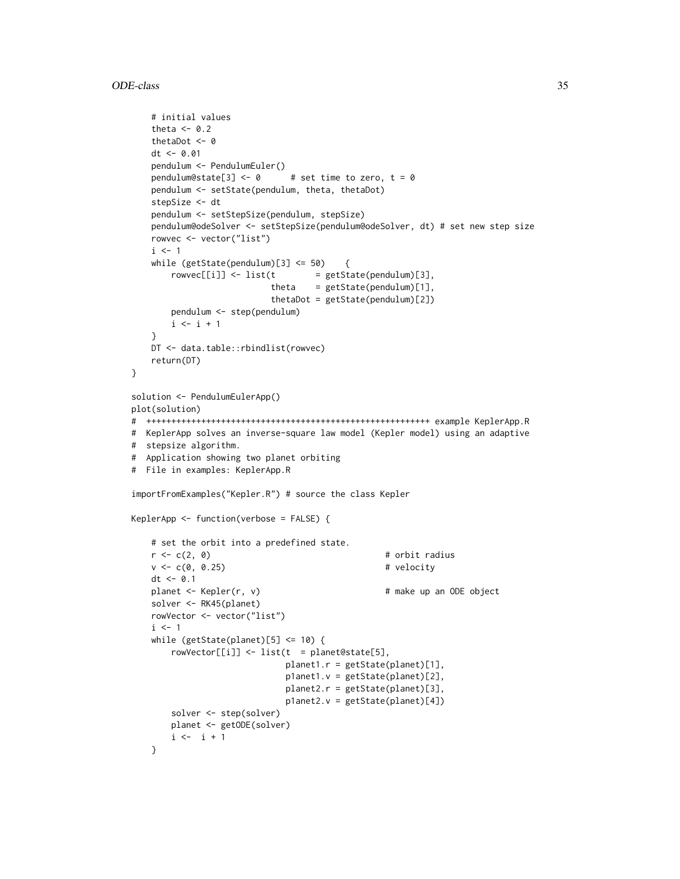```
# initial values
   theta <-0.2thetaDot <-0dt < -0.01pendulum <- PendulumEuler()
   pendulum@state[3] <- \theta # set time to zero, t = \thetapendulum <- setState(pendulum, theta, thetaDot)
   stepSize <- dt
   pendulum <- setStepSize(pendulum, stepSize)
   pendulum@odeSolver <- setStepSize(pendulum@odeSolver, dt) # set new step size
   rowvec <- vector("list")
   i \leq 1while (getState(pendulum)[3] <= 50) {
       rowvec[[i]] \leftarrow list(t = getState(pendulum)[3],theta = getState(pendulum)[1],thetaDot = getState(pendulum)[2])
       pendulum <- step(pendulum)
       i \leftarrow i + 1}
   DT <- data.table::rbindlist(rowvec)
   return(DT)
}
solution <- PendulumEulerApp()
plot(solution)
# +++++++++++++++++++++++++++++++++++++++++++++++++++++++++ example KeplerApp.R
# KeplerApp solves an inverse-square law model (Kepler model) using an adaptive
# stepsize algorithm.
# Application showing two planet orbiting
# File in examples: KeplerApp.R
importFromExamples("Kepler.R") # source the class Kepler
KeplerApp <- function(verbose = FALSE) {
   # set the orbit into a predefined state.
   r < -c(2, 0) # orbit radius
   v \leq c(0, 0.25) # velocity
   dt <- 0.1
   planet <- Kepler(r, v) # make up an ODE object
   solver <- RK45(planet)
   rowVector <- vector("list")
   i \leq -1while (getState(planet)[5] \le 10) {
       rowVector[[i]] \leftarrow list(t = planet@state[5],planet1.r = getState(planet)[1],
                             p1anet1.v = getState(planet)[2],
                             planet2.r = getState(planet)[3],
                             p1anet2.v = getState(planet)[4])
       solver <- step(solver)
       planet <- getODE(solver)
       i \leftarrow i + 1}
```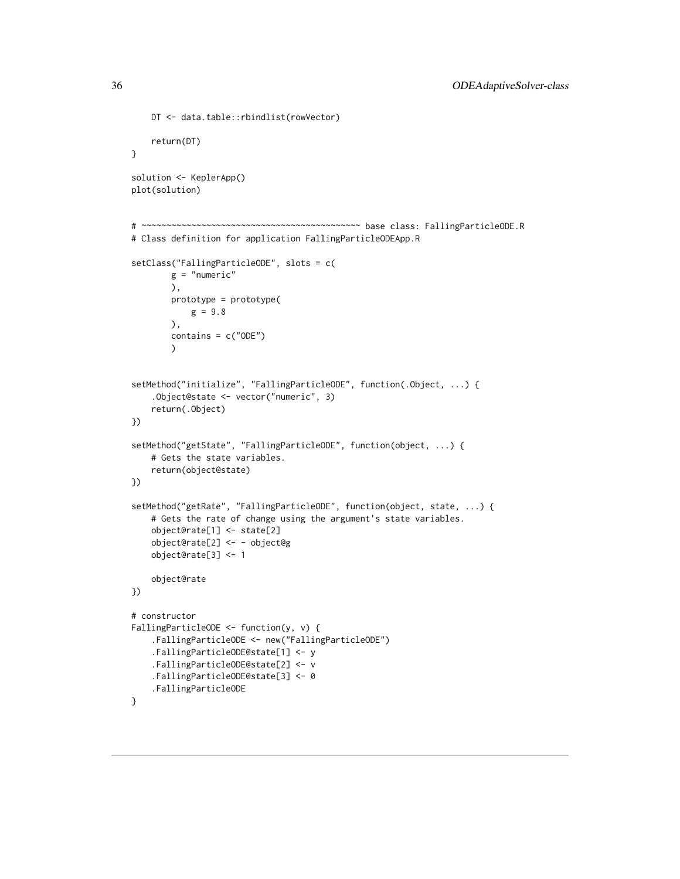```
DT <- data.table::rbindlist(rowVector)
    return(DT)
}
solution <- KeplerApp()
plot(solution)
# ~~~~~~~~~~~~~~~~~~~~~~~~~~~~~~~~~~~~~~~~~~~~ base class: FallingParticleODE.R
# Class definition for application FallingParticleODEApp.R
setClass("FallingParticleODE", slots = c(
       g = "numeric"),
       prototype = prototype(
          g = 9.8),
       contains = c("ODE")
       )
setMethod("initialize", "FallingParticleODE", function(.Object, ...) {
    .Object@state <- vector("numeric", 3)
    return(.Object)
})
setMethod("getState", "FallingParticleODE", function(object, ...) {
    # Gets the state variables.
    return(object@state)
})
setMethod("getRate", "FallingParticleODE", function(object, state, ...) {
    # Gets the rate of change using the argument's state variables.
    object@rate[1] <- state[2]
    object@rate[2] <- - object@g
    object@rate[3] <- 1
    object@rate
})
# constructor
FallingParticleODE <- function(y, v) {
    .FallingParticleODE <- new("FallingParticleODE")
    .FallingParticleODE@state[1] <- y
    .FallingParticleODE@state[2] <- v
    .FallingParticleODE@state[3] <- 0
    .FallingParticleODE
}
```
<span id="page-35-0"></span>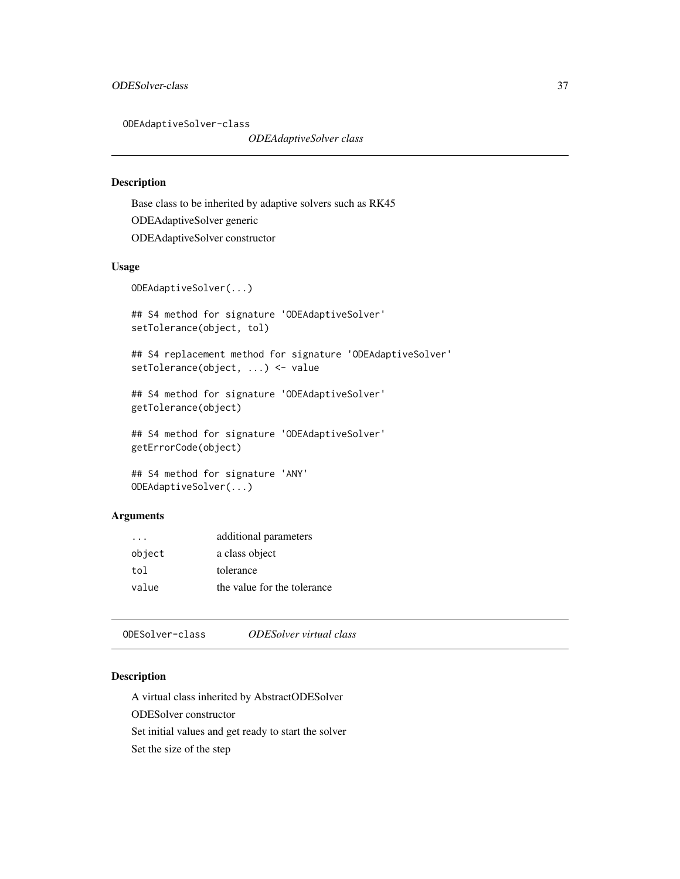<span id="page-36-0"></span>ODEAdaptiveSolver-class

*ODEAdaptiveSolver class*

### Description

Base class to be inherited by adaptive solvers such as RK45 ODEAdaptiveSolver generic ODEAdaptiveSolver constructor

#### Usage

```
ODEAdaptiveSolver(...)
```
## S4 method for signature 'ODEAdaptiveSolver' setTolerance(object, tol)

## S4 replacement method for signature 'ODEAdaptiveSolver' setTolerance(object, ...) <- value

```
## S4 method for signature 'ODEAdaptiveSolver'
getTolerance(object)
```
## S4 method for signature 'ODEAdaptiveSolver' getErrorCode(object)

```
## S4 method for signature 'ANY'
ODEAdaptiveSolver(...)
```
### Arguments

| $\cdot$ $\cdot$ $\cdot$ | additional parameters       |
|-------------------------|-----------------------------|
| object                  | a class object              |
| tol                     | tolerance                   |
| value                   | the value for the tolerance |

<span id="page-36-1"></span>ODESolver-class *ODESolver virtual class*

### Description

A virtual class inherited by AbstractODESolver

ODESolver constructor

Set initial values and get ready to start the solver

Set the size of the step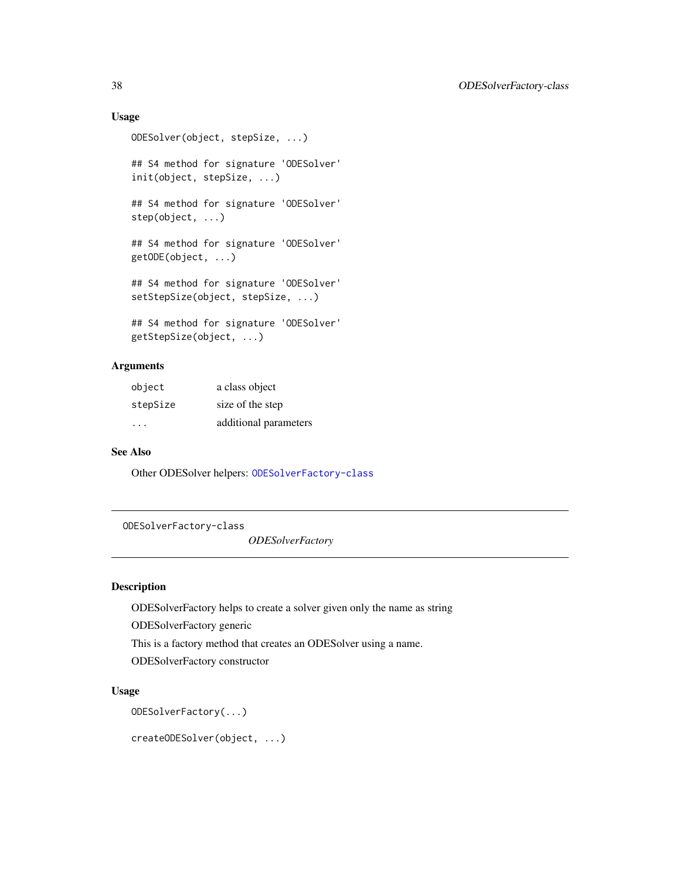### <span id="page-37-0"></span>Usage

```
ODESolver(object, stepSize, ...)
## S4 method for signature 'ODESolver'
init(object, stepSize, ...)
## S4 method for signature 'ODESolver'
step(object, ...)
## S4 method for signature 'ODESolver'
getODE(object, ...)
## S4 method for signature 'ODESolver'
setStepSize(object, stepSize, ...)
## S4 method for signature 'ODESolver'
getStepSize(object, ...)
```
### Arguments

| object   | a class object        |
|----------|-----------------------|
| stepSize | size of the step      |
| .        | additional parameters |

### See Also

Other ODESolver helpers: [ODESolverFactory-class](#page-37-1)

<span id="page-37-1"></span>ODESolverFactory-class

*ODESolverFactory*

### Description

ODESolverFactory helps to create a solver given only the name as string

ODESolverFactory generic

This is a factory method that creates an ODESolver using a name.

ODESolverFactory constructor

### Usage

ODESolverFactory(...)

createODESolver(object, ...)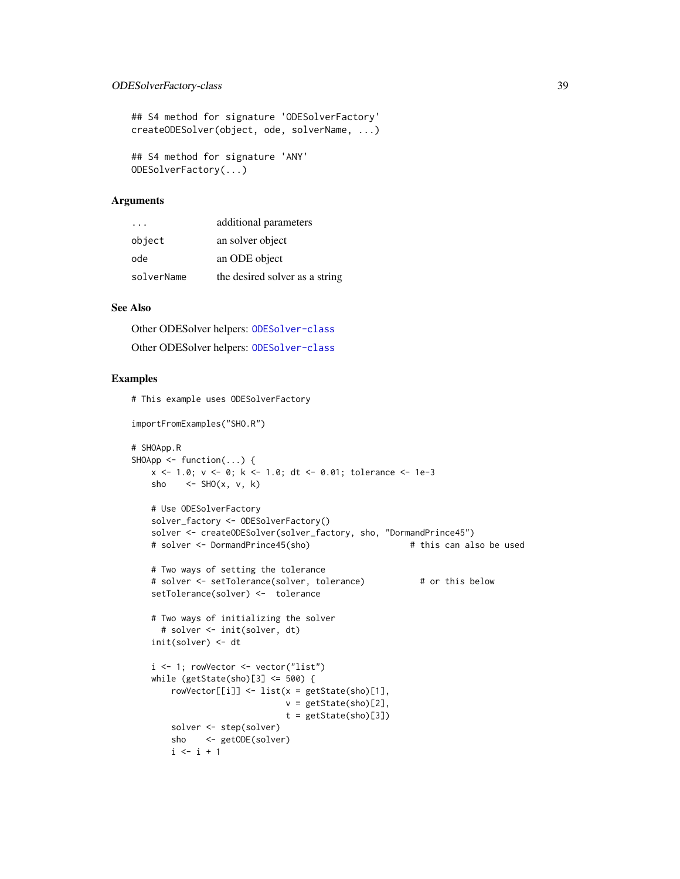### ODESolverFactory-class 39

## S4 method for signature 'ODESolverFactory' createODESolver(object, ode, solverName, ...)

## S4 method for signature 'ANY' ODESolverFactory(...)

### Arguments

| .          | additional parameters          |
|------------|--------------------------------|
| object     | an solver object               |
| ode        | an ODE object                  |
| solverName | the desired solver as a string |

#### See Also

Other ODESolver helpers: [ODESolver-class](#page-36-1) Other ODESolver helpers: [ODESolver-class](#page-36-1)

```
# This example uses ODESolverFactory
importFromExamples("SHO.R")
# SHOApp.R
SHOApp \leq function(...) {
   x <- 1.0; v <- 0; k <- 1.0; dt <- 0.01; tolerance <- 1e-3
   sho \leq SHO(x, v, k)
   # Use ODESolverFactory
   solver_factory <- ODESolverFactory()
   solver <- createODESolver(solver_factory, sho, "DormandPrince45")
   # solver <- DormandPrince45(sho) # this can also be used
   # Two ways of setting the tolerance
   # solver <- setTolerance(solver, tolerance) # or this below
   setTolerance(solver) <- tolerance
   # Two ways of initializing the solver
     # solver <- init(solver, dt)
   init(solver) <- dt
   i \leq 1; rowVector \leq vector("list")
   while (getState(sho)[3] \le 500) {
       rowVector[[i]] <- list(x = getState(sho)[1],
                              v = getState(sho)[2],t = getState(sho)[3])solver <- step(solver)
       sho <- getODE(solver)
       i \leftarrow i + 1
```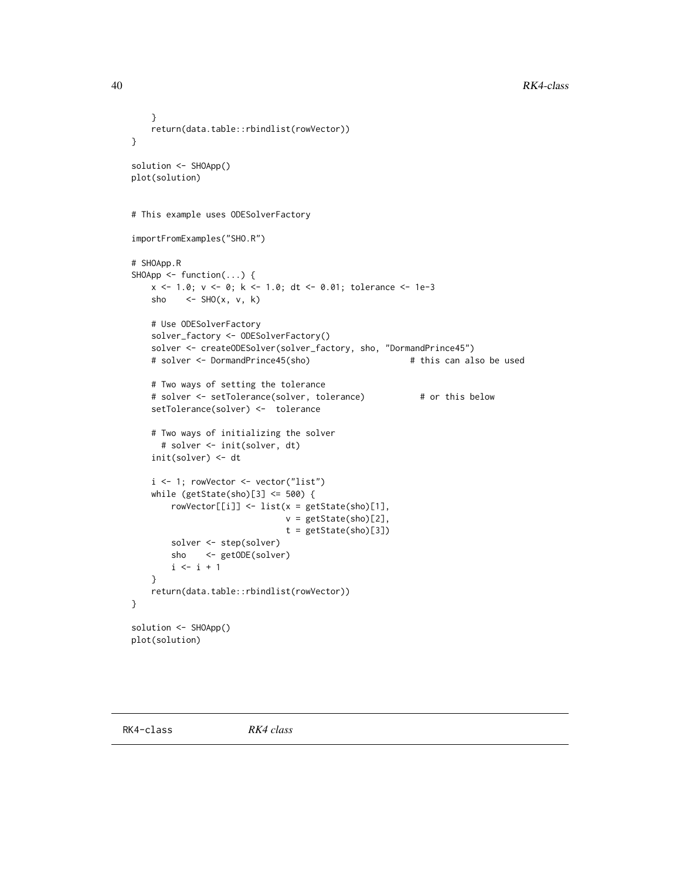40 RK4-class

```
}
   return(data.table::rbindlist(rowVector))
}
solution <- SHOApp()
plot(solution)
# This example uses ODESolverFactory
importFromExamples("SHO.R")
# SHOApp.R
SHOApp \leq function(...) {
   x <- 1.0; v <- 0; k <- 1.0; dt <- 0.01; tolerance <- 1e-3
   sho \leq SHO(x, v, k)
   # Use ODESolverFactory
   solver_factory <- ODESolverFactory()
   solver <- createODESolver(solver_factory, sho, "DormandPrince45")
   # solver <- DormandPrince45(sho) # this can also be used
   # Two ways of setting the tolerance
   # solver <- setTolerance(solver, tolerance) # or this below
   setTolerance(solver) <- tolerance
   # Two ways of initializing the solver
     # solver <- init(solver, dt)
   init(solver) <- dt
   i <- 1; rowVector <- vector("list")
   while (getState(sho)[3] <= 500) {
       rowVector[[i]] <- list(x = getState(sho)[1],
                              v = getState(sho)[2],
                              t = getState(sho)[3])
       solver <- step(solver)
       sho <- getODE(solver)
       i \le i + 1}
   return(data.table::rbindlist(rowVector))
}
solution <- SHOApp()
plot(solution)
```
<span id="page-39-0"></span>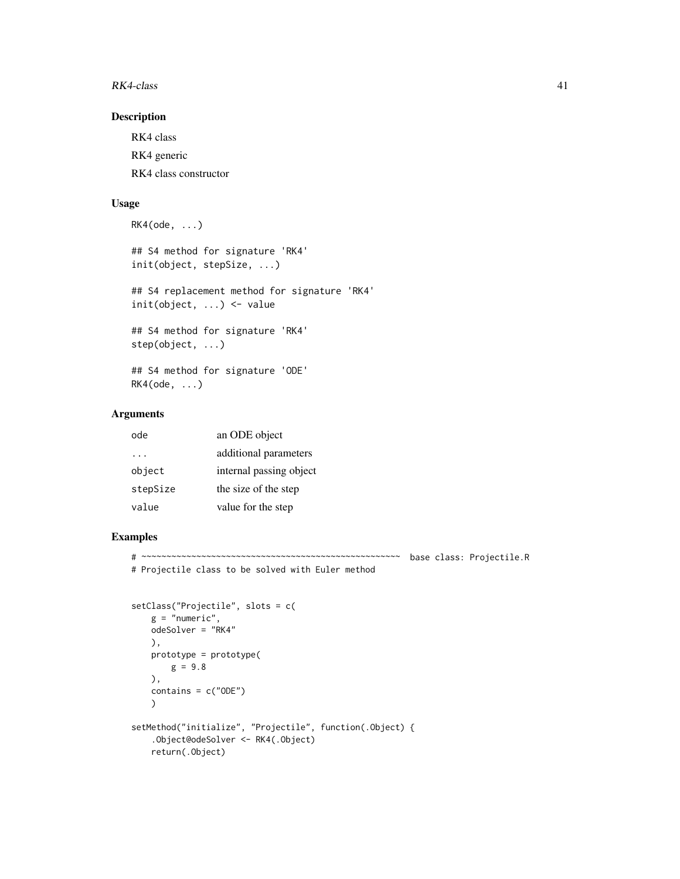#### $RK4\text{-}class$  41

### Description

RK4 class RK4 generic RK4 class constructor

### Usage

```
RK4(ode, ...)
## S4 method for signature 'RK4'
init(object, stepSize, ...)
## S4 replacement method for signature 'RK4'
init(object, ...) <- value
## S4 method for signature 'RK4'
step(object, ...)
## S4 method for signature 'ODE'
RK4(ode, ...)
```
### Arguments

| ode       | an ODE object           |
|-----------|-------------------------|
| $\cdot$ . | additional parameters   |
| object    | internal passing object |
| stepSize  | the size of the step    |
| value     | value for the step      |
|           |                         |

```
# ~~~~~~~~~~~~~~~~~~~~~~~~~~~~~~~~~~~~~~~~~~~~~~~~~~~~ base class: Projectile.R
# Projectile class to be solved with Euler method
```

```
setClass("Projectile", slots = c(
   g = "numeric",odeSolver = "RK4"
   ),
   prototype = prototype(
      g = 9.8),
   contains = c("ODE")\lambdasetMethod("initialize", "Projectile", function(.Object) {
    .Object@odeSolver <- RK4(.Object)
   return(.Object)
```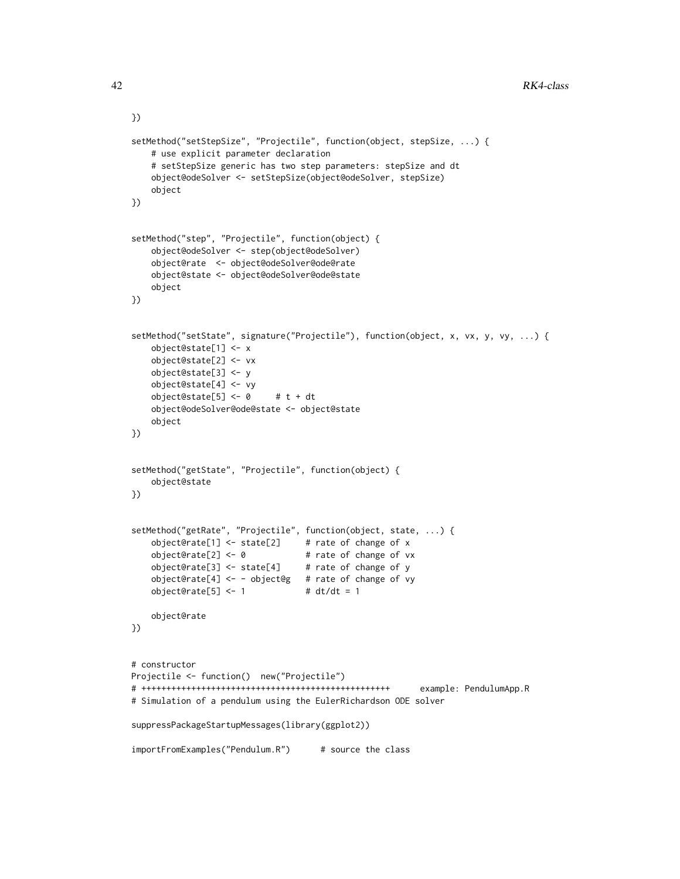```
setMethod("setStepSize", "Projectile", function(object, stepSize, ...) {
   # use explicit parameter declaration
   # setStepSize generic has two step parameters: stepSize and dt
   object@odeSolver <- setStepSize(object@odeSolver, stepSize)
   object
})
setMethod("step", "Projectile", function(object) {
   object@odeSolver <- step(object@odeSolver)
   object@rate <- object@odeSolver@ode@rate
   object@state <- object@odeSolver@ode@state
   object
})
setMethod("setState", signature("Projectile"), function(object, x, vx, y, vy, ...) {
   object@state[1] <- x
   object@state[2] <- vx
   object@state[3] <- y
   object@state[4] <- vy
   object@state[5] <- 0 # t + dt
   object@odeSolver@ode@state <- object@state
   object
})
setMethod("getState", "Projectile", function(object) {
   object@state
})
setMethod("getRate", "Projectile", function(object, state, ...) {
   object@rate[1] \le state[2] # rate of change of x
   object@rate[2] <- 0 # rate of change of vx
   object@rate[3] <- state[4] # rate of change of y
   object@rate[4] <- - object@g # rate of change of vy
   object@rate[5] < -1 # dt/dt = 1
   object@rate
})
# constructor
Projectile <- function() new("Projectile")
# ++++++++++++++++++++++++++++++++++++++++++++++++++ example: PendulumApp.R
# Simulation of a pendulum using the EulerRichardson ODE solver
suppressPackageStartupMessages(library(ggplot2))
importFromExamples("Pendulum.R") # source the class
```
})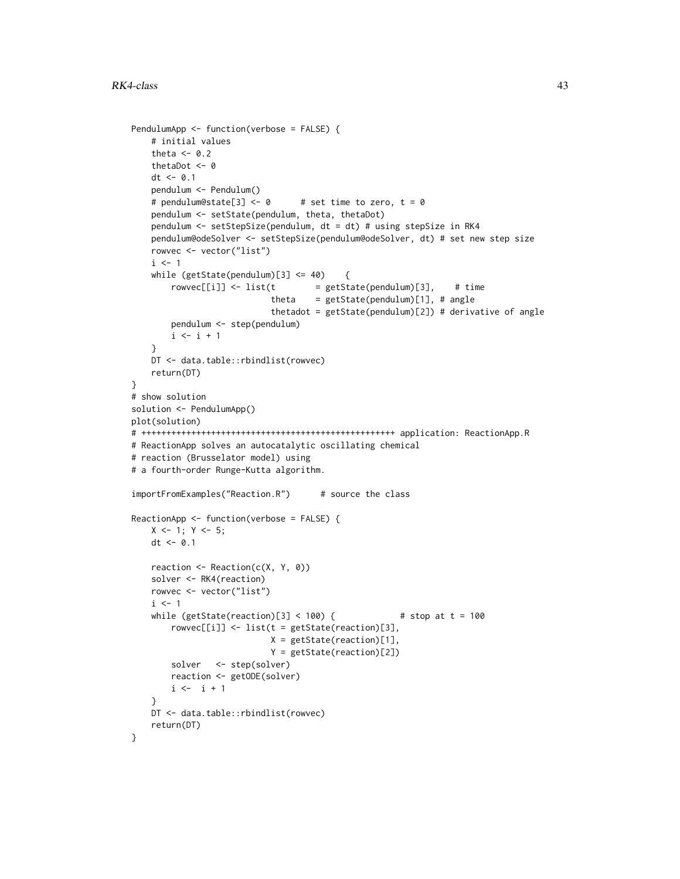```
PendulumApp <- function(verbose = FALSE) {
    # initial values
    theta <-0.2thetaDot <- 0
   dt < -0.1pendulum <- Pendulum()
    # pendulum@state[3] <- 0 # set time to zero, t = 0pendulum <- setState(pendulum, theta, thetaDot)
   pendulum <- setStepSize(pendulum, dt = dt) # using stepSize in RK4
   pendulum@odeSolver <- setStepSize(pendulum@odeSolver, dt) # set new step size
   rowvec <- vector("list")
    i \leq 1while (getState(pendulum)[3] \le 40 {
       rowvec[[i]] \leftarrow list(t = getState(pendulum)[3], # timetheta = getState(pendulum)[1], # anglethetadot = getState(pendulum)[2]) # derivative of angle
       pendulum <- step(pendulum)
       i \le i + 1}
    DT <- data.table::rbindlist(rowvec)
   return(DT)
}
# show solution
solution <- PendulumApp()
plot(solution)
# +++++++++++++++++++++++++++++++++++++++++++++++++++ application: ReactionApp.R
# ReactionApp solves an autocatalytic oscillating chemical
# reaction (Brusselator model) using
# a fourth-order Runge-Kutta algorithm.
importFromExamples("Reaction.R") # source the class
ReactionApp <- function(verbose = FALSE) {
   X \leftarrow 1; Y \leftarrow 5;
   dt < -0.1reaction <- Reaction(c(X, Y, 0))
    solver <- RK4(reaction)
   rowvec <- vector("list")
    i \leq 1while (getState(reaction)[3] < 100) { # stop at t = 100
       rowvec[[i]] <- list(t = getState(reaction)[3],
                           X = getState(reaction)[1],
                            Y = getState(reaction)[2])
       solver <- step(solver)
       reaction <- getODE(solver)
       i \leftarrow i + 1}
   DT <- data.table::rbindlist(rowvec)
   return(DT)
}
```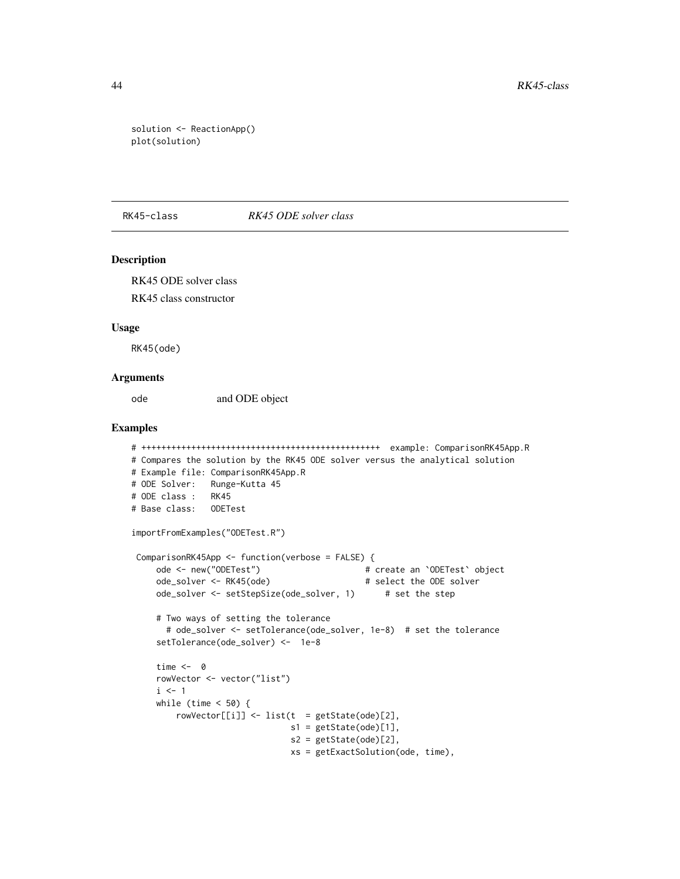```
solution <- ReactionApp()
plot(solution)
```
#### RK45-class *RK45 ODE solver class*

#### Description

RK45 ODE solver class

RK45 class constructor

#### Usage

RK45(ode)

#### Arguments

ode and ODE object

```
# ++++++++++++++++++++++++++++++++++++++++++++++++ example: ComparisonRK45App.R
# Compares the solution by the RK45 ODE solver versus the analytical solution
# Example file: ComparisonRK45App.R
# ODE Solver: Runge-Kutta 45
# ODE class : RK45
# Base class: ODETest
importFromExamples("ODETest.R")
ComparisonRK45App <- function(verbose = FALSE) {
    ode <- new("ODETest") # create an `ODETest` object
    ode_solver <- RK45(ode) # select the ODE solver
    ode_solver <- setStepSize(ode_solver, 1) # set the step
    # Two ways of setting the tolerance
      # ode_solver <- setTolerance(ode_solver, 1e-8) # set the tolerance
    setTolerance(ode_solver) <- 1e-8
    time <- 0
    rowVector <- vector("list")
    i \leq 1while (time < 50) {
        rowVector[[i]] \leftarrow list(t = getState(ode)[2],
                              s1 = getState(ode)[1],
                              s2 = getState(ode)[2],xs = getExactSolution(ode, time),
```
<span id="page-43-0"></span>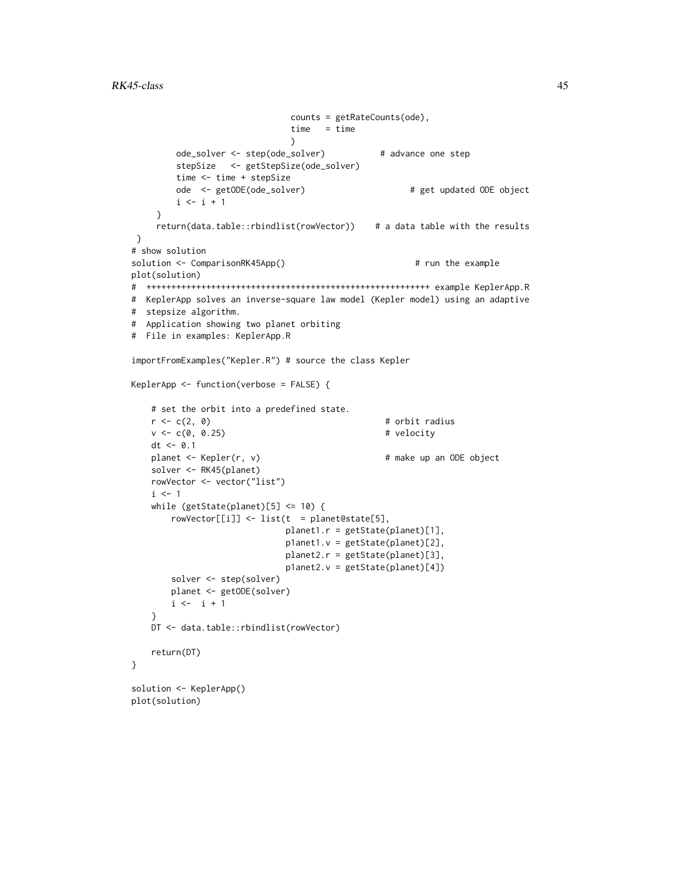```
counts = getRateCounts(ode),
                             time = time
                             )
        ode_solver <- step(ode_solver) # advance one step
        stepSize <- getStepSize(ode_solver)
        time <- time + stepSize
        ode <- getODE(ode_solver) # get updated ODE object
        i \leftarrow i + 1}
    return(data.table::rbindlist(rowVector)) # a data table with the results
}
# show solution
solution <- ComparisonRK45App() \qquad # run the example
plot(solution)
# +++++++++++++++++++++++++++++++++++++++++++++++++++++++++ example KeplerApp.R
# KeplerApp solves an inverse-square law model (Kepler model) using an adaptive
# stepsize algorithm.
# Application showing two planet orbiting
# File in examples: KeplerApp.R
importFromExamples("Kepler.R") # source the class Kepler
KeplerApp <- function(verbose = FALSE) {
   # set the orbit into a predefined state.
   r < -c(2, 0) # orbit radius
   v \leq c(0, 0.25) # velocity
   dt < -0.1planet <- Kepler(r, v) \qquad \qquad \qquad # make up an ODE object
   solver <- RK45(planet)
   rowVector <- vector("list")
   i \leq -1while (getState(planet)[5] \le 10) {
       rowVector[[i]] <- list(t = planet@state[5],
                            planet1.r = getState(planet)[1],
                            p1anet1.v = getState(planet)[2],
                            planet2.r = getState(planet)[3],
                            p1anet2.v = getState(planet)[4])
       solver <- step(solver)
       planet <- getODE(solver)
       i \leftarrow i + 1}
   DT <- data.table::rbindlist(rowVector)
   return(DT)
}
solution <- KeplerApp()
plot(solution)
```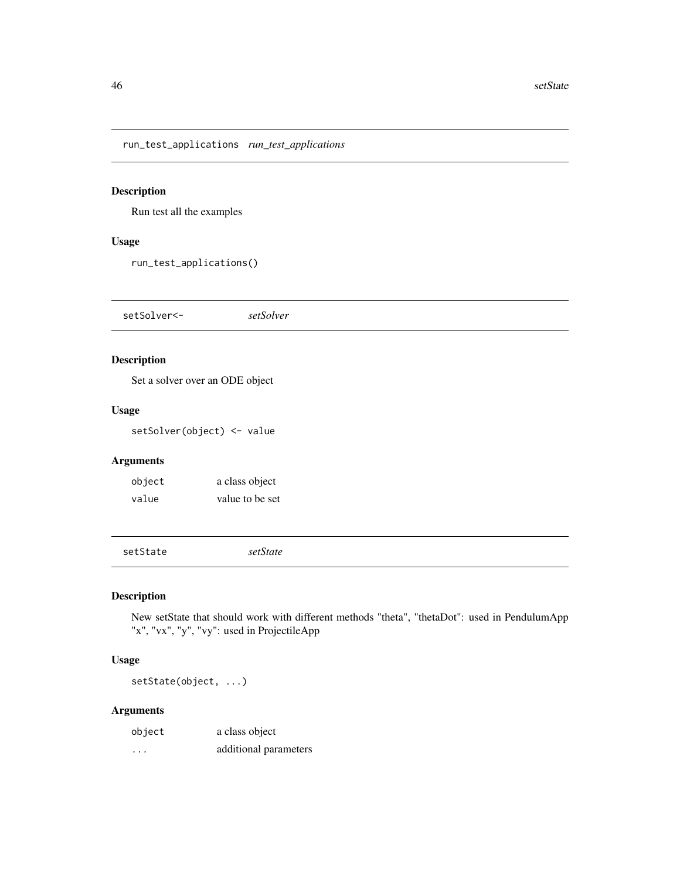<span id="page-45-0"></span>run\_test\_applications *run\_test\_applications*

### Description

Run test all the examples

### Usage

run\_test\_applications()

setSolver<- *setSolver*

### Description

Set a solver over an ODE object

### Usage

setSolver(object) <- value

### Arguments

| object | a class object  |
|--------|-----------------|
| value  | value to be set |

setState *setState*

### Description

New setState that should work with different methods "theta", "thetaDot": used in PendulumApp "x", "vx", "y", "vy": used in ProjectileApp

### Usage

setState(object, ...)

### Arguments

| object | a class object        |
|--------|-----------------------|
| .      | additional parameters |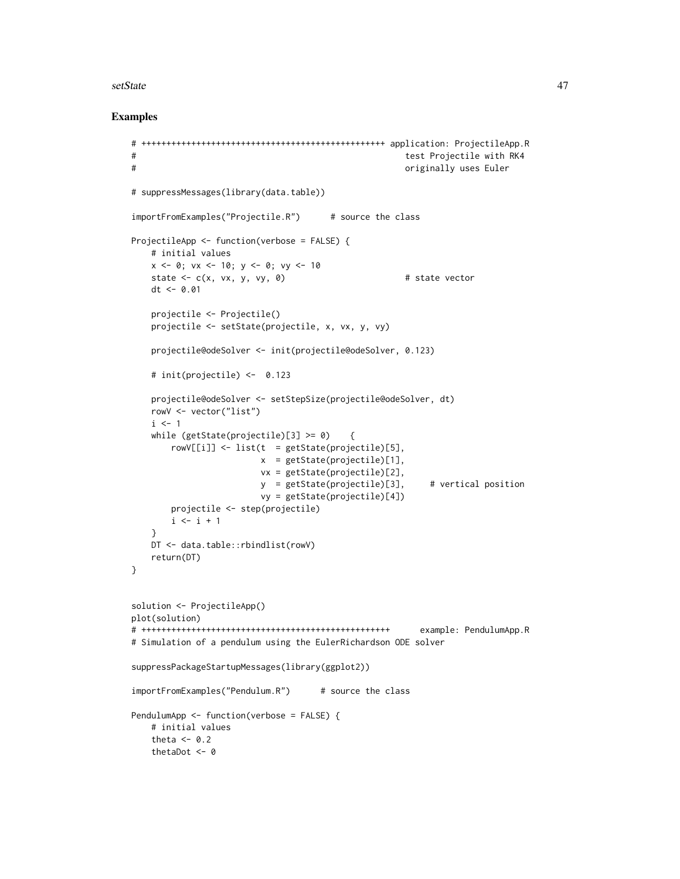#### setState 47

```
# +++++++++++++++++++++++++++++++++++++++++++++++++ application: ProjectileApp.R
# test Projectile with RK4
# originally uses Euler
# suppressMessages(library(data.table))
importFromExamples("Projectile.R") # source the class
ProjectileApp <- function(verbose = FALSE) {
   # initial values
   x \le -0; vx \le -10; y \le -0; vy \le -10state \leq c(x, vx, y, vy, 0) \qquad # state vector
   dt <- 0.01
   projectile <- Projectile()
   projectile <- setState(projectile, x, vx, y, vy)
   projectile@odeSolver <- init(projectile@odeSolver, 0.123)
   # init(projectile) <- 0.123
   projectile@odeSolver <- setStepSize(projectile@odeSolver, dt)
   rowV <- vector("list")
   i \leq 1while (getState(projectile)[3] > = 0) {
       rowV[[i]] \le list(t = getState(projectile)[5],
                       x = getStateહ(projectile)[1],vx = getState(projectile)[2],
                        y = getState(projectile)[3], # vertical position
                        vy = getState(projectile)[4])
       projectile <- step(projectile)
       i \leftarrow i + 1}
   DT <- data.table::rbindlist(rowV)
   return(DT)
}
solution <- ProjectileApp()
plot(solution)
# ++++++++++++++++++++++++++++++++++++++++++++++++++ example: PendulumApp.R
# Simulation of a pendulum using the EulerRichardson ODE solver
suppressPackageStartupMessages(library(ggplot2))
importFromExamples("Pendulum.R") # source the class
PendulumApp <- function(verbose = FALSE) {
   # initial values
   theta <-0.2thetaDot <- 0
```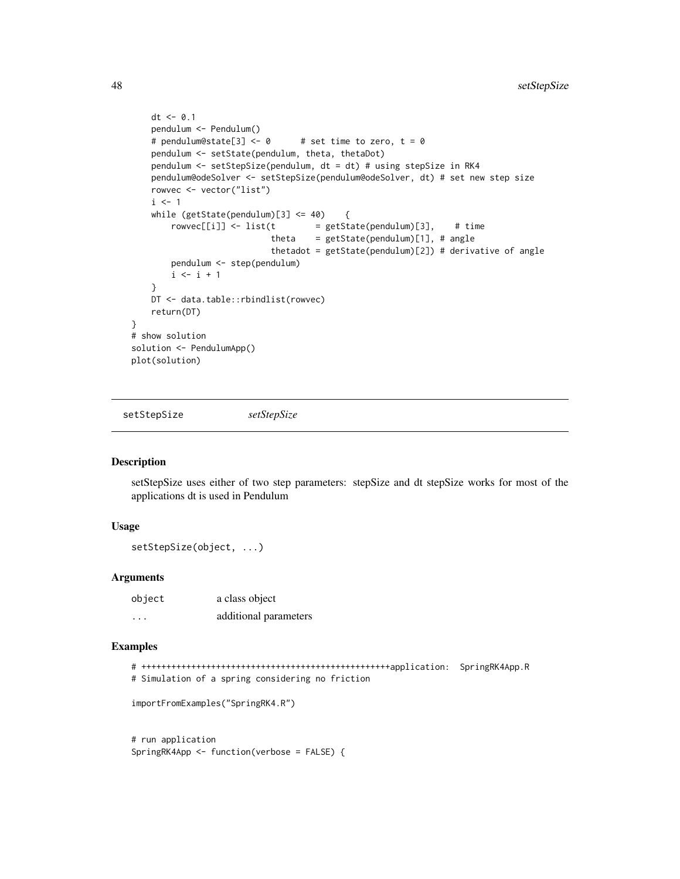```
dt < -0.1pendulum <- Pendulum()
    # pendulum@state[3] <- 0 # set time to zero, t = 0pendulum <- setState(pendulum, theta, thetaDot)
   pendulum <- setStepSize(pendulum, dt = dt) # using stepSize in RK4
   pendulum@odeSolver <- setStepSize(pendulum@odeSolver, dt) # set new step size
   rowvec <- vector("list")
    i \leq 1while (getState(pendulum)[3] \leq 40) {
       rowvec[[i]] \leftarrow list(t = getState(pendulum)[3], # timetheta = getState(pendulum)[1], # anglethetadot = getState(pendulum)[2]) # derivative of angle
       pendulum <- step(pendulum)
       i \leftarrow i + 1}
   DT <- data.table::rbindlist(rowvec)
   return(DT)
}
# show solution
solution <- PendulumApp()
plot(solution)
```
setStepSize *setStepSize*

#### Description

setStepSize uses either of two step parameters: stepSize and dt stepSize works for most of the applications dt is used in Pendulum

### Usage

```
setStepSize(object, ...)
```
### Arguments

| object   | a class object        |
|----------|-----------------------|
| $\cdots$ | additional parameters |

#### Examples

```
# ++++++++++++++++++++++++++++++++++++++++++++++++++application: SpringRK4App.R
# Simulation of a spring considering no friction
importFromExamples("SpringRK4.R")
```
# run application SpringRK4App <- function(verbose = FALSE) {

<span id="page-47-0"></span>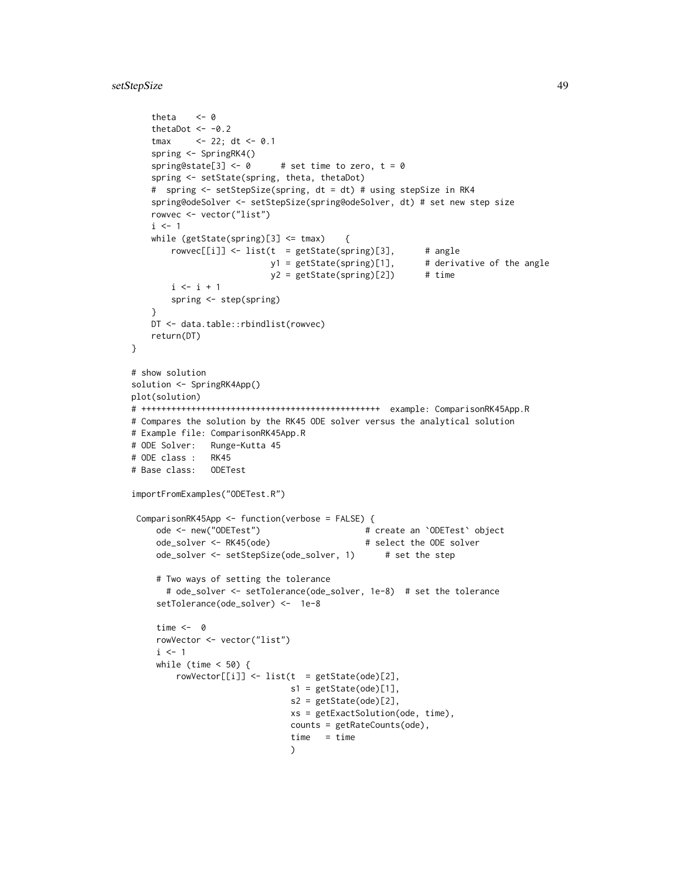### setStepSize 49

```
theta <-0thetaDot <- -0.2
    tmax <- 22; dt <- 0.1
   spring <- SpringRK4()
   spring@state[3] <- \theta # set time to zero, t = \thetaspring <- setState(spring, theta, thetaDot)
    # spring <- setStepSize(spring, dt = dt) # using stepSize in RK4
   spring@odeSolver <- setStepSize(spring@odeSolver, dt) # set new step size
   rowvec <- vector("list")
   i \leq 1while (getState(spring)[3] \leq tmax) {
       rowvec[[i]] \leftarrow list(t = getState(spring)[3], # angley1 = getState(spring)[1], # derivative of the angle
                           y2 = getState(spring)[2]) # time
       i \le i + 1spring <- step(spring)
    }
   DT <- data.table::rbindlist(rowvec)
   return(DT)
}
# show solution
solution <- SpringRK4App()
plot(solution)
# ++++++++++++++++++++++++++++++++++++++++++++++++ example: ComparisonRK45App.R
# Compares the solution by the RK45 ODE solver versus the analytical solution
# Example file: ComparisonRK45App.R
# ODE Solver: Runge-Kutta 45
# ODE class : RK45
# Base class: ODETest
importFromExamples("ODETest.R")
 ComparisonRK45App <- function(verbose = FALSE) {
     ode <- new("ODETest") # create an `ODETest` object
     ode_solver <- RK45(ode) # select the ODE solver
     ode_solver <- setStepSize(ode_solver, 1) # set the step
     # Two ways of setting the tolerance
      # ode_solver <- setTolerance(ode_solver, 1e-8) # set the tolerance
     setTolerance(ode_solver) <- 1e-8
     time <- 0
     rowVector <- vector("list")
     i \leq 1while (time < 50) {
        rowVector[[i]] <- list(t = getState(ode)[2],
                               s1 = getState(ode)[1],s2 = getState(ode)[2],
                               xs = getExactSolution(ode, time),
                               counts = getRateCounts(ode),
                               time = time\lambda
```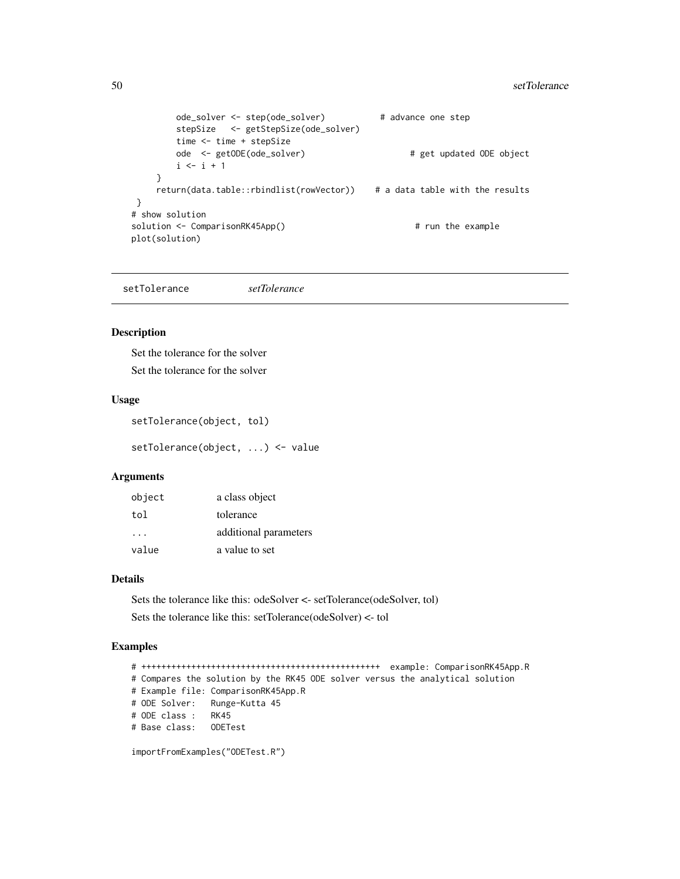```
ode_solver <- step(ode_solver) # advance one step
       stepSize <- getStepSize(ode_solver)
       time <- time + stepSize
       ode <- getODE(ode_solver) # get updated ODE object
       i \le i + 1}
    return(data.table::rbindlist(rowVector)) # a data table with the results
}
# show solution
solution <- ComparisonRK45App() # run the example
plot(solution)
```
setTolerance *setTolerance*

#### Description

Set the tolerance for the solver

Set the tolerance for the solver

### Usage

```
setTolerance(object, tol)
```
setTolerance(object, ...) <- value

### Arguments

| object   | a class object        |
|----------|-----------------------|
| tol      | tolerance             |
| $\cdots$ | additional parameters |
| value    | a value to set        |

### Details

Sets the tolerance like this: odeSolver <- setTolerance(odeSolver, tol) Sets the tolerance like this: setTolerance(odeSolver) <- tol

### Examples

# ++++++++++++++++++++++++++++++++++++++++++++++++ example: ComparisonRK45App.R # Compares the solution by the RK45 ODE solver versus the analytical solution # Example file: ComparisonRK45App.R # ODE Solver: Runge-Kutta 45 # ODE class : RK45 # Base class: ODETest

importFromExamples("ODETest.R")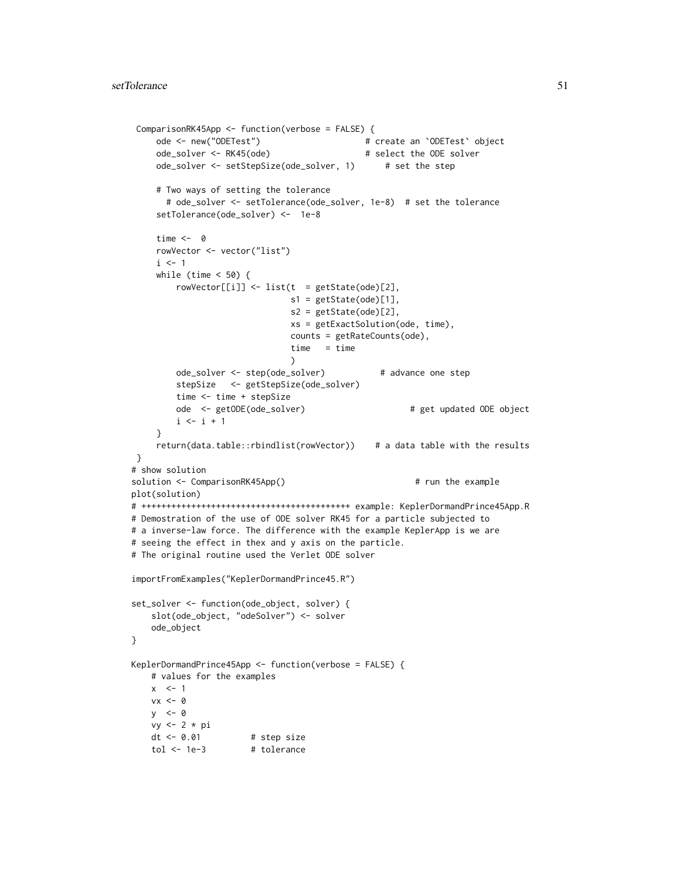```
ComparisonRK45App <- function(verbose = FALSE) {
    ode <- new("ODETest") # create an `ODETest` object
    ode_solver <- RK45(ode) # select the ODE solver
    ode_solver <- setStepSize(ode_solver, 1) # set the step
    # Two ways of setting the tolerance
      # ode_solver <- setTolerance(ode_solver, 1e-8) # set the tolerance
    setTolerance(ode_solver) <- 1e-8
    time <- 0
    rowVector <- vector("list")
    i \leq 1while (time < 50) {
        rowVector[[i]] \leftarrow list(t = getState(ode)[2],s1 = getState(ode)[1],s2 = getState(ode)[2],
                              xs = getExactSolution(ode, time),
                              counts = getRateCounts(ode),
                              time = time
                              \lambdaode_solver <- step(ode_solver) # advance one step
        stepSize <- getStepSize(ode_solver)
        time <- time + stepSize
        ode <- getODE(ode_solver) # get updated ODE object
        i \leftarrow i + 1}
    return(data.table::rbindlist(rowVector)) # a data table with the results
}
# show solution
solution <- ComparisonRK45App() \qquad # run the example
plot(solution)
# ++++++++++++++++++++++++++++++++++++++++++ example: KeplerDormandPrince45App.R
# Demostration of the use of ODE solver RK45 for a particle subjected to
# a inverse-law force. The difference with the example KeplerApp is we are
# seeing the effect in thex and y axis on the particle.
# The original routine used the Verlet ODE solver
importFromExamples("KeplerDormandPrince45.R")
set_solver <- function(ode_object, solver) {
   slot(ode_object, "odeSolver") <- solver
   ode_object
}
KeplerDormandPrince45App <- function(verbose = FALSE) {
   # values for the examples
   x \leq -1vx < - \thetav < - \thetavy <- 2 * pi
   dt <- 0.01 # step size
   tol <- 1e-3 # tolerance
```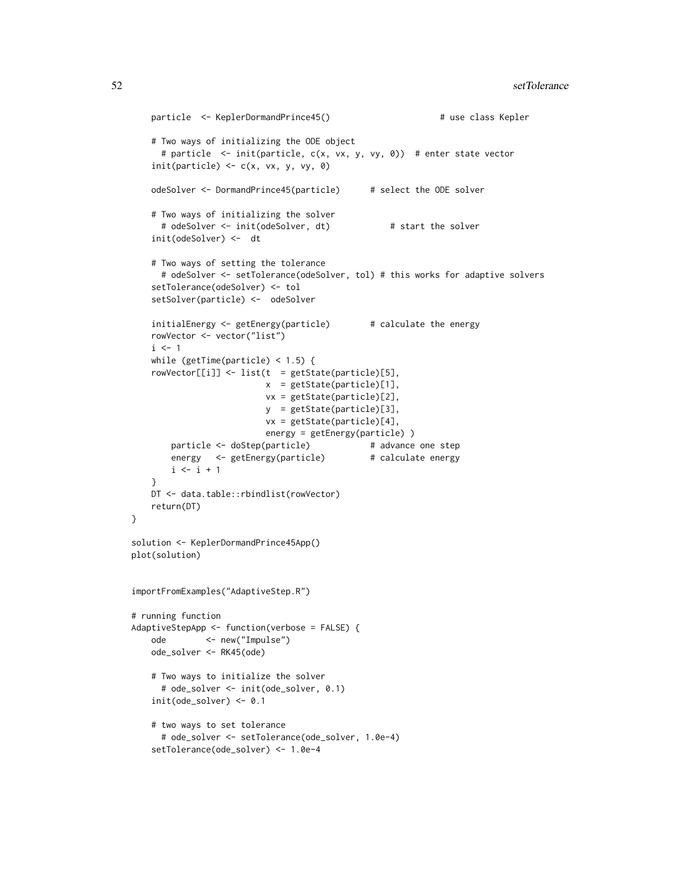```
particle <- KeplerDormandPrince45() \qquad # use class Kepler
   # Two ways of initializing the ODE object
     # particle <- init(particle, c(x, vx, y, vy, 0)) # enter state vector
   init(particle) \leftarrow c(x, vx, y, vy, \emptyset)odeSolver <- DormandPrince45(particle) # select the ODE solver
   # Two ways of initializing the solver
     # odeSolver <- init(odeSolver, dt) # start the solver
   init(odeSolver) <- dt
   # Two ways of setting the tolerance
     # odeSolver <- setTolerance(odeSolver, tol) # this works for adaptive solvers
   setTolerance(odeSolver) <- tol
   setSolver(particle) <- odeSolver
   initialEnergy <- getEnergy(particle) # calculate the energy
   rowVector <- vector("list")
   i \leq 1while (getTime(particle) < 1.5) {
   rowVector[[i]] <- list(t = getState(particle)[5],
                          x = getState(particle)[1],
                          vx = getState(particle)[2],
                          y = getState(particle)[3],
                          vx = getState(particle)[4],
                          energy = getEnergy(particle) )
       particle <- doStep(particle) # advance one step
       energy <- getEnergy(particle) # calculate energy
       i \leftarrow i + 1}
   DT <- data.table::rbindlist(rowVector)
   return(DT)
solution <- KeplerDormandPrince45App()
plot(solution)
importFromExamples("AdaptiveStep.R")
# running function
AdaptiveStepApp <- function(verbose = FALSE) {
   ode <- new("Impulse")
   ode_solver <- RK45(ode)
   # Two ways to initialize the solver
     # ode_solver <- init(ode_solver, 0.1)
   init(ode_solver) <- 0.1
   # two ways to set tolerance
     # ode_solver <- setTolerance(ode_solver, 1.0e-4)
   setTolerance(ode_solver) <- 1.0e-4
```
}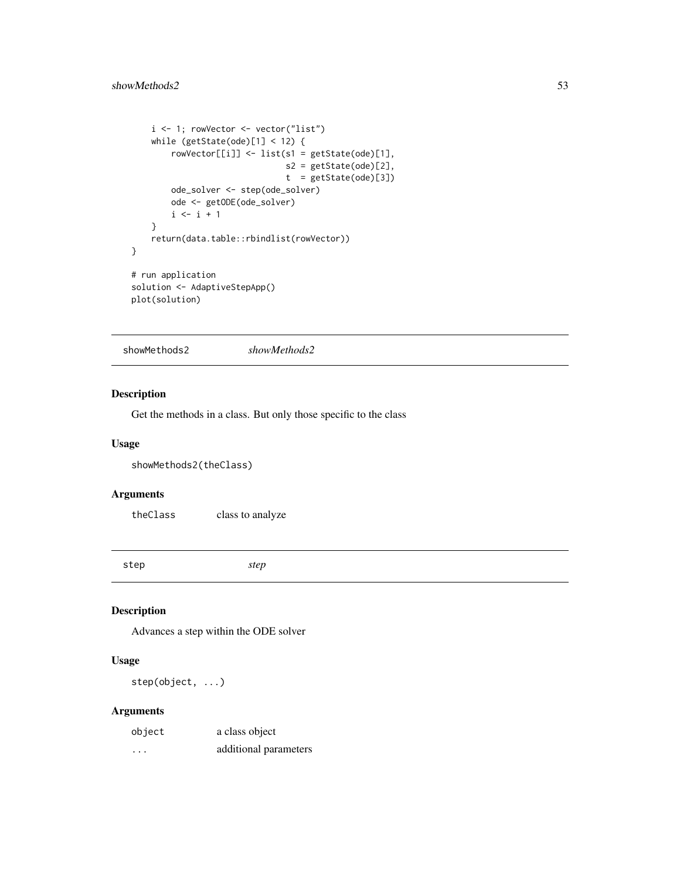```
i <- 1; rowVector <- vector("list")
   while (getState(ode)[1] < 12) {
       rowVector[[i]] <- list(s1 = getState(ode)[1],
                               s2 = getState(ode)[2],
                               t = getState(ode)[3])ode_solver <- step(ode_solver)
       ode <- getODE(ode_solver)
       i \le i + 1}
   return(data.table::rbindlist(rowVector))
}
# run application
solution <- AdaptiveStepApp()
plot(solution)
```
showMethods2 *showMethods2*

### Description

Get the methods in a class. But only those specific to the class

#### Usage

```
showMethods2(theClass)
```
### Arguments

theClass class to analyze

step *step*

### Description

Advances a step within the ODE solver

### Usage

step(object, ...)

### Arguments

| object | a class object        |
|--------|-----------------------|
| .      | additional parameters |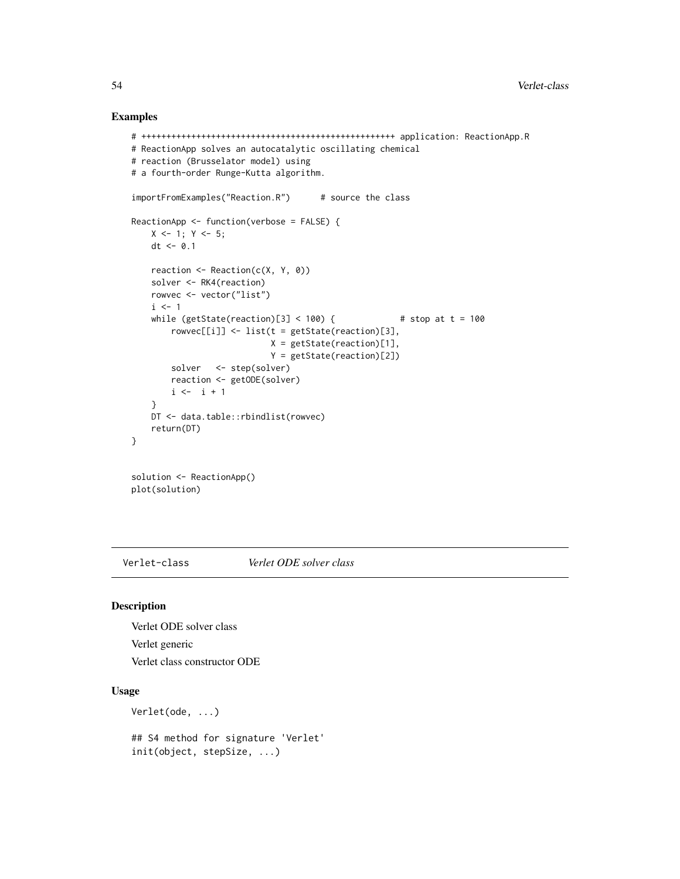### Examples

```
# +++++++++++++++++++++++++++++++++++++++++++++++++++ application: ReactionApp.R
# ReactionApp solves an autocatalytic oscillating chemical
# reaction (Brusselator model) using
# a fourth-order Runge-Kutta algorithm.
importFromExamples("Reaction.R") # source the class
ReactionApp <- function(verbose = FALSE) {
   X \leftarrow 1; Y \leftarrow 5;
   dt < -0.1reaction <- Reaction(c(X, Y, 0))
    solver <- RK4(reaction)
   rowvec <- vector("list")
   i \leq 1while (getState(reaction)[3] < 100) { # stop at t = 100rowvec[[i]] <- list(t = getState(reaction)[3],
                            X = getState(reaction)[1],Y = getState(reaction)[2])
        solver <- step(solver)
       reaction <- getODE(solver)
       i \leftarrow i + 1}
    DT <- data.table::rbindlist(rowvec)
   return(DT)
}
solution <- ReactionApp()
plot(solution)
```
Verlet-class *Verlet ODE solver class*

### Description

Verlet ODE solver class Verlet generic Verlet class constructor ODE

#### Usage

```
Verlet(ode, ...)
```
## S4 method for signature 'Verlet' init(object, stepSize, ...)

<span id="page-53-0"></span>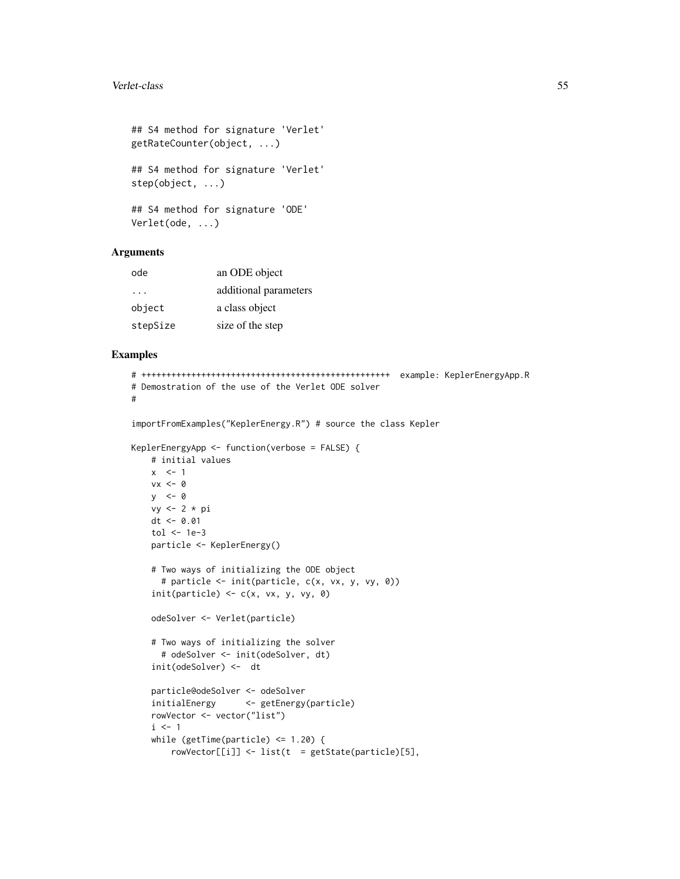#### Verlet-class 55

```
## S4 method for signature 'Verlet'
getRateCounter(object, ...)
## S4 method for signature 'Verlet'
step(object, ...)
## S4 method for signature 'ODE'
Verlet(ode, ...)
```
### Arguments

| ode      | an ODE object         |
|----------|-----------------------|
| .        | additional parameters |
| object   | a class object        |
| stepSize | size of the step      |

```
# ++++++++++++++++++++++++++++++++++++++++++++++++++ example: KeplerEnergyApp.R
# Demostration of the use of the Verlet ODE solver
#
```

```
importFromExamples("KeplerEnergy.R") # source the class Kepler
```

```
KeplerEnergyApp <- function(verbose = FALSE) {
   # initial values
   x \leq -1vx < - \emptysety <- 0
   vy <- 2 * pi
   dt <- 0.01
    tol \leftarrow 1e-3particle <- KeplerEnergy()
    # Two ways of initializing the ODE object
      # particle <- init(particle, c(x, vx, y, vy, 0))
    init(particle) \leftarrow c(x, vx, y, vy, \emptyset)odeSolver <- Verlet(particle)
    # Two ways of initializing the solver
     # odeSolver <- init(odeSolver, dt)
    init(odeSolver) <- dt
    particle@odeSolver <- odeSolver
    initialEnergy <- getEnergy(particle)
    rowVector <- vector("list")
    i \leq 1while (getTime(particle) \leq 1.20) {
        rowVector[[i]] \leftarrow list(t = getState(particle)[5],
```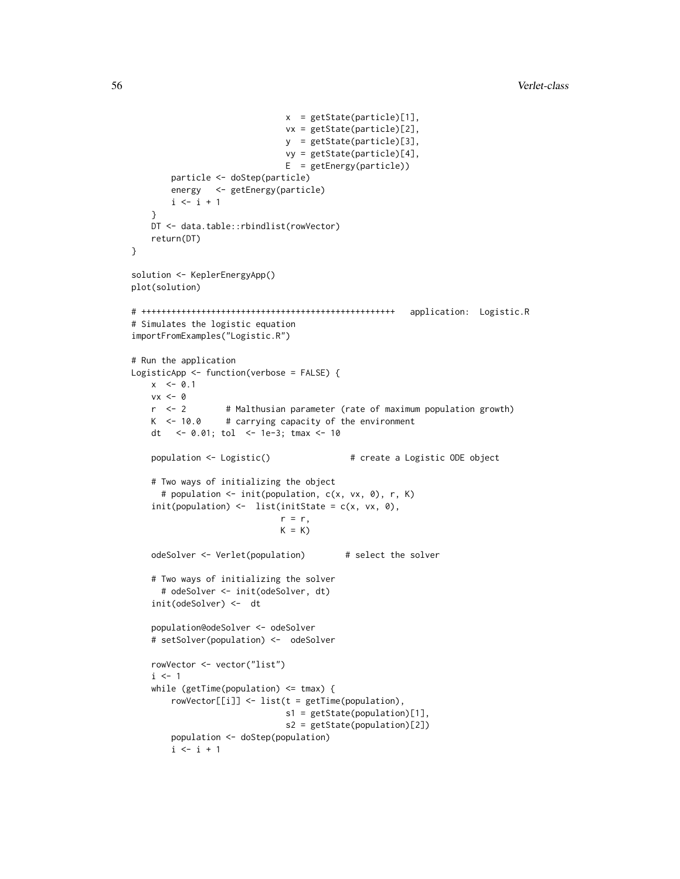```
x = getState(particle)[1],
                              vx = getState(particle)[2],
                              y = getState(particle)[3],
                              vy = getState(particle)[4],
                              E = getEnergy(particle))
       particle <- doStep(particle)
       energy <- getEnergy(particle)
       i \leftarrow i + 1}
   DT <- data.table::rbindlist(rowVector)
   return(DT)
}
solution <- KeplerEnergyApp()
plot(solution)
# +++++++++++++++++++++++++++++++++++++++++++++++++++ application: Logistic.R
# Simulates the logistic equation
importFromExamples("Logistic.R")
# Run the application
LogisticApp <- function(verbose = FALSE) {
   x < -0.1vx <- 0<br>r <- 2
                  # Malthusian parameter (rate of maximum population growth)
   K <- 10.0 # carrying capacity of the environment
   dt <- 0.01; tol <- 1e-3; tmax <- 10
   population <- Logistic() # create a Logistic ODE object
    # Two ways of initializing the object
     # population <- init(population, c(x, vx, 0), r, K)
    init(population) \leftarrow list(intState = c(x, vx, 0),r = r,
                              K = KodeSolver <- Verlet(population) # select the solver
    # Two ways of initializing the solver
     # odeSolver <- init(odeSolver, dt)
    init(odeSolver) <- dt
    population@odeSolver <- odeSolver
    # setSolver(population) <- odeSolver
    rowVector <- vector("list")
    i \leq 1while (getTime(population) \leq tmax) {
       rowVector[[i]] <- list(t = getTime(population),
                               s1 = getState(population)[1],
                               s2 = getState(population)[2])
       population <- doStep(population)
       i \leftarrow i + 1
```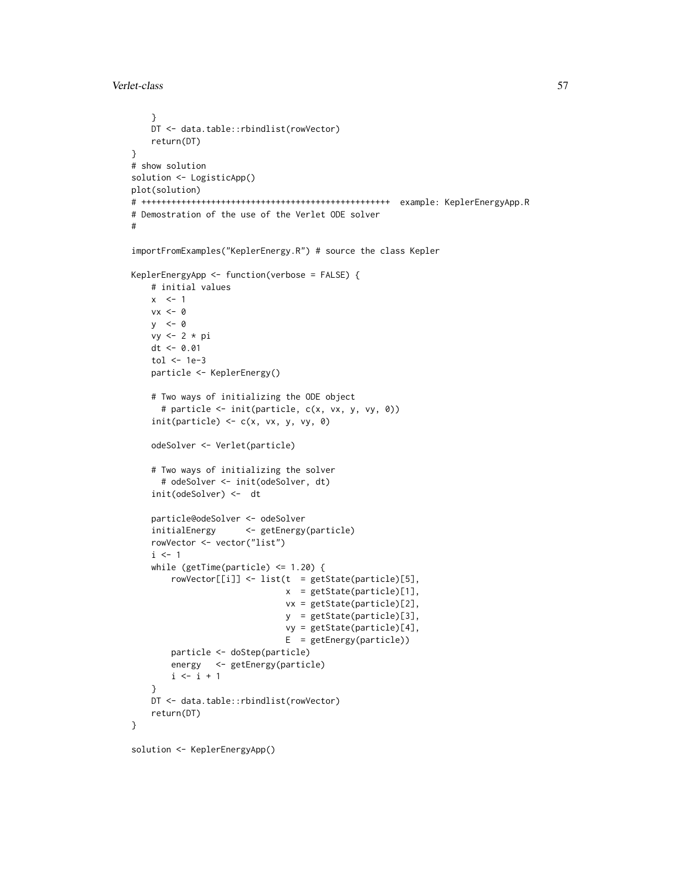Verlet-class 57

```
}
    DT <- data.table::rbindlist(rowVector)
    return(DT)
}
# show solution
solution <- LogisticApp()
plot(solution)
# ++++++++++++++++++++++++++++++++++++++++++++++++++ example: KeplerEnergyApp.R
# Demostration of the use of the Verlet ODE solver
#
importFromExamples("KeplerEnergy.R") # source the class Kepler
KeplerEnergyApp <- function(verbose = FALSE) {
    # initial values
   x < -1vx < - \thetay <- 0
   vy <- 2 * pi
   dt <- 0.01
    tol <- 1e-3
   particle <- KeplerEnergy()
    # Two ways of initializing the ODE object
      # particle <- init(particle, c(x, vx, y, vy, 0))
    init(particle) \leq c(x, vx, y, vy, \theta)odeSolver <- Verlet(particle)
    # Two ways of initializing the solver
     # odeSolver <- init(odeSolver, dt)
    init(odeSolver) <- dt
    particle@odeSolver <- odeSolver
    initialEnergy <- getEnergy(particle)
    rowVector <- vector("list")
    i \leq 1while (getTime(particle) <= 1.20) {
        rowVector[[i]] \leftarrow list(t = getState(particle)[5],x = getState(particle)[1],
                               vx = getState(particle)[2],
                               y = getState(particle)[3],
                               vy = getState(particle)[4],
                               E = getEnergy(particle))
        particle <- doStep(particle)
        energy <- getEnergy(particle)
        i \leftarrow i + 1}
   DT <- data.table::rbindlist(rowVector)
    return(DT)
}
```
solution <- KeplerEnergyApp()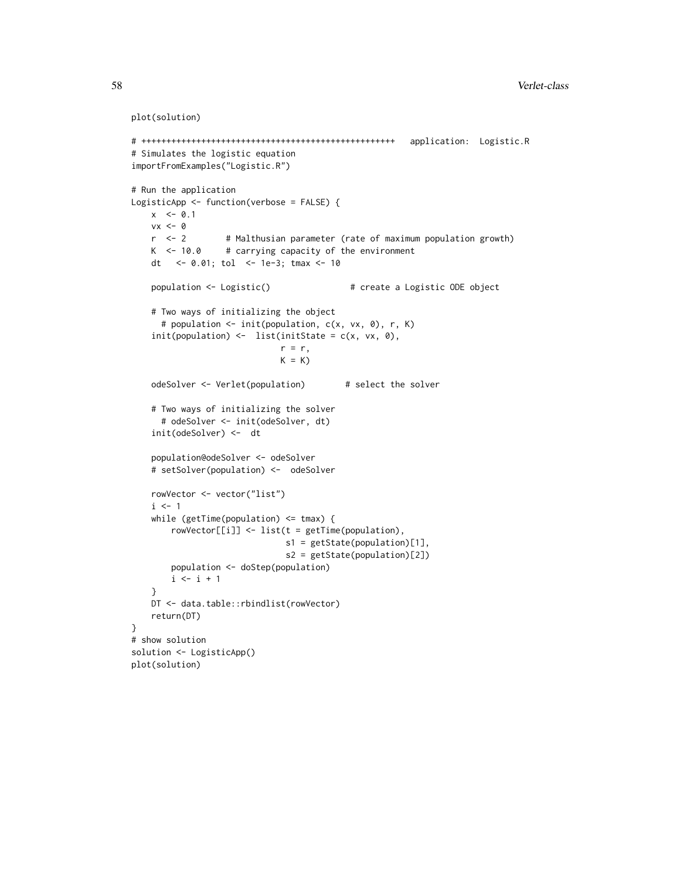```
plot(solution)
```

```
# +++++++++++++++++++++++++++++++++++++++++++++++++++ application: Logistic.R
# Simulates the logistic equation
importFromExamples("Logistic.R")
# Run the application
LogisticApp <- function(verbose = FALSE) {
   x \le -0.1vx < - \thetar <- 2 # Malthusian parameter (rate of maximum population growth)
   K <- 10.0 # carrying capacity of the environment
   dt <- 0.01; tol <- 1e-3; tmax <- 10
   population <- Logistic() # create a Logistic ODE object
   # Two ways of initializing the object
     # population <- init(population, c(x, vx, 0), r, K)
   init(population) \leftarrow list(intState = c(x, vx, 0),r = r,
                             K = KodeSolver <- Verlet(population) # select the solver
   # Two ways of initializing the solver
     # odeSolver <- init(odeSolver, dt)
   init(odeSolver) <- dt
   population@odeSolver <- odeSolver
   # setSolver(population) <- odeSolver
   rowVector <- vector("list")
   i \leq -1while (getTime(population) <= tmax) {
       rowVector[[i]] <- list(t = getTime(population),
                              s1 = getState(population)[1],
                              s2 = getState(population)[2])
       population <- doStep(population)
       i \le i + 1}
   DT <- data.table::rbindlist(rowVector)
   return(DT)
}
# show solution
solution <- LogisticApp()
plot(solution)
```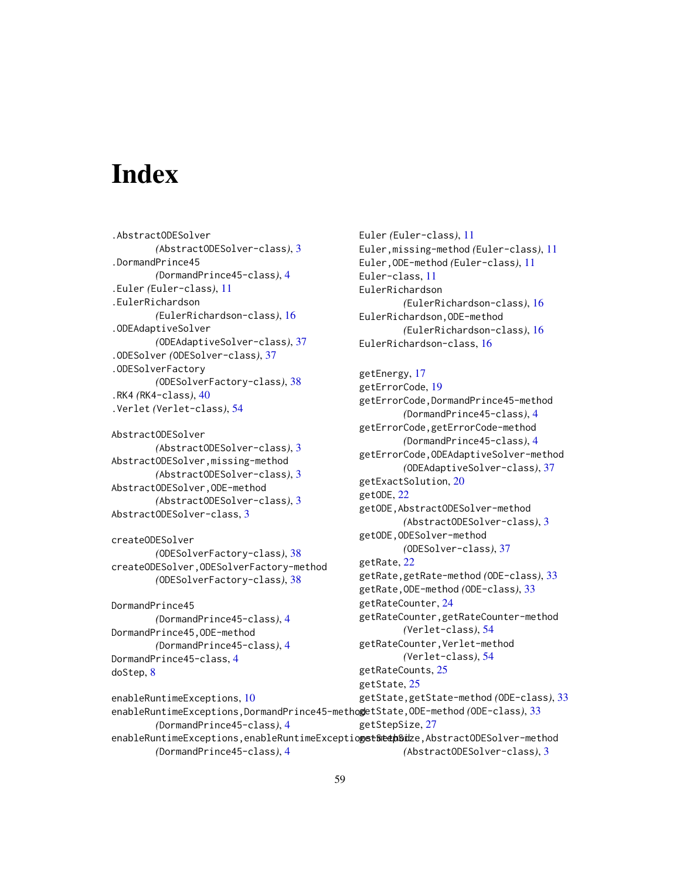# <span id="page-58-0"></span>**Index**

.AbstractODESolver *(*AbstractODESolver-class*)*, [3](#page-2-0) .DormandPrince45 *(*DormandPrince45-class*)*, [4](#page-3-0) .Euler *(*Euler-class*)*, [11](#page-10-0) .EulerRichardson *(*EulerRichardson-class*)*, [16](#page-15-0) .ODEAdaptiveSolver *(*ODEAdaptiveSolver-class*)*, [37](#page-36-0) .ODESolver *(*ODESolver-class*)*, [37](#page-36-0) .ODESolverFactory *(*ODESolverFactory-class*)*, [38](#page-37-0) .RK4 *(*RK4-class*)*, [40](#page-39-0) .Verlet *(*Verlet-class*)*, [54](#page-53-0)

AbstractODESolver *(*AbstractODESolver-class*)*, [3](#page-2-0) AbstractODESolver,missing-method *(*AbstractODESolver-class*)*, [3](#page-2-0) AbstractODESolver,ODE-method *(*AbstractODESolver-class*)*, [3](#page-2-0) AbstractODESolver-class, [3](#page-2-0)

createODESolver *(*ODESolverFactory-class*)*, [38](#page-37-0) createODESolver,ODESolverFactory-method *(*ODESolverFactory-class*)*, [38](#page-37-0)

*(*DormandPrince45-class*)*, [4](#page-3-0)

*(*DormandPrince45-class*)*, [4](#page-3-0)

DormandPrince45 *(*DormandPrince45-class*)*, [4](#page-3-0) DormandPrince45,ODE-method *(*DormandPrince45-class*)*, [4](#page-3-0) DormandPrince45-class, [4](#page-3-0) doStep, [8](#page-7-0)

enableRuntimeExceptions, [10](#page-9-0)

Euler *(*Euler-class*)*, [11](#page-10-0) Euler,missing-method *(*Euler-class*)*, [11](#page-10-0) Euler,ODE-method *(*Euler-class*)*, [11](#page-10-0) Euler-class, [11](#page-10-0) EulerRichardson *(*EulerRichardson-class*)*, [16](#page-15-0) EulerRichardson,ODE-method *(*EulerRichardson-class*)*, [16](#page-15-0) EulerRichardson-class, [16](#page-15-0)

## getEnergy, [17](#page-16-0)

enableRuntimeExceptions,DormandPrince45-method getState,ODE-method *(*ODE-class*)*, [33](#page-32-0) enableRuntimeExceptions,enableRuntimeExceptiogst&th&thSidze,AbstractODESolver-method getErrorCode, [19](#page-18-0) getErrorCode,DormandPrince45-method *(*DormandPrince45-class*)*, [4](#page-3-0) getErrorCode,getErrorCode-method *(*DormandPrince45-class*)*, [4](#page-3-0) getErrorCode,ODEAdaptiveSolver-method *(*ODEAdaptiveSolver-class*)*, [37](#page-36-0) getExactSolution, [20](#page-19-0) getODE, [22](#page-21-0) getODE,AbstractODESolver-method *(*AbstractODESolver-class*)*, [3](#page-2-0) getODE,ODESolver-method *(*ODESolver-class*)*, [37](#page-36-0) getRate, [22](#page-21-0) getRate,getRate-method *(*ODE-class*)*, [33](#page-32-0) getRate,ODE-method *(*ODE-class*)*, [33](#page-32-0) getRateCounter, [24](#page-23-0) getRateCounter,getRateCounter-method *(*Verlet-class*)*, [54](#page-53-0) getRateCounter,Verlet-method *(*Verlet-class*)*, [54](#page-53-0) getRateCounts, [25](#page-24-0) getState, [25](#page-24-0) getState,getState-method *(*ODE-class*)*, [33](#page-32-0) getStepSize, [27](#page-26-0)

*(*AbstractODESolver-class*)*, [3](#page-2-0)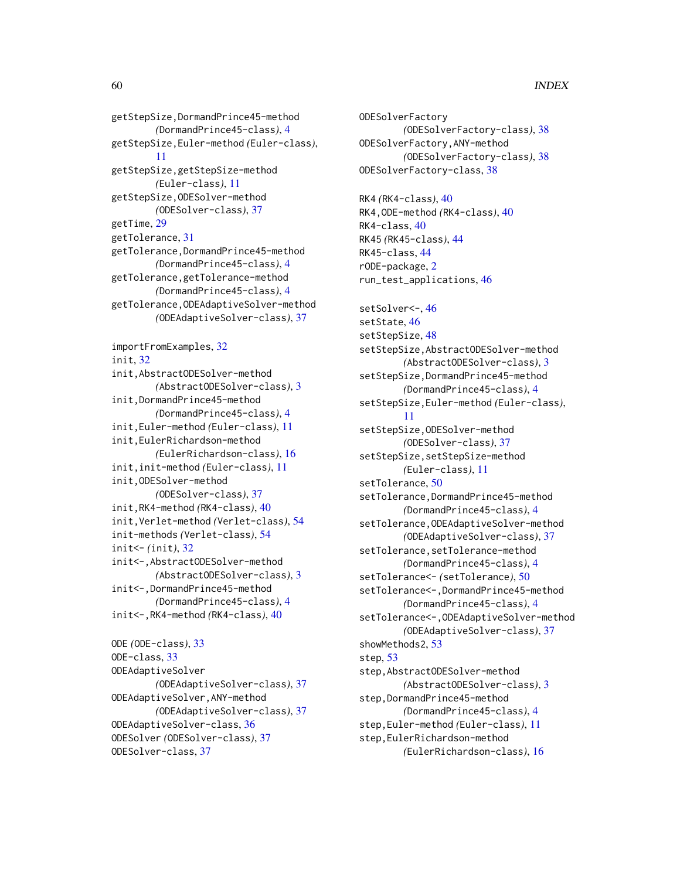### 60 INDEX

```
getStepSize,DormandPrince45-method
        (DormandPrince45-class), 4
getStepSize,Euler-method (Euler-class),
        11
getStepSize,getStepSize-method
        (Euler-class), 11
getStepSize,ODESolver-method
        (ODESolver-class), 37
getTime, 29
getTolerance, 31
getTolerance,DormandPrince45-method
        (DormandPrince45-class), 4
getTolerance,getTolerance-method
        (DormandPrince45-class), 4
getTolerance,ODEAdaptiveSolver-method
        (ODEAdaptiveSolver-class), 37
importFromExamples, 32
init, 32
```
init,AbstractODESolver-method *(*AbstractODESolver-class*)*, [3](#page-2-0) init,DormandPrince45-method *(*DormandPrince45-class*)*, [4](#page-3-0) init,Euler-method *(*Euler-class*)*, [11](#page-10-0) init,EulerRichardson-method *(*EulerRichardson-class*)*, [16](#page-15-0) init,init-method *(*Euler-class*)*, [11](#page-10-0) init,ODESolver-method *(*ODESolver-class*)*, [37](#page-36-0) init,RK4-method *(*RK4-class*)*, [40](#page-39-0) init,Verlet-method *(*Verlet-class*)*, [54](#page-53-0) init-methods *(*Verlet-class*)*, [54](#page-53-0) init<- *(*init*)*, [32](#page-31-0) init<-,AbstractODESolver-method *(*AbstractODESolver-class*)*, [3](#page-2-0) init<-,DormandPrince45-method *(*DormandPrince45-class*)*, [4](#page-3-0) init<-,RK4-method *(*RK4-class*)*, [40](#page-39-0)

ODE *(*ODE-class*)*, [33](#page-32-0) ODE-class, [33](#page-32-0) ODEAdaptiveSolver *(*ODEAdaptiveSolver-class*)*, [37](#page-36-0) ODEAdaptiveSolver,ANY-method *(*ODEAdaptiveSolver-class*)*, [37](#page-36-0) ODEAdaptiveSolver-class, [36](#page-35-0) ODESolver *(*ODESolver-class*)*, [37](#page-36-0) ODESolver-class, [37](#page-36-0)

ODESolverFactory *(*ODESolverFactory-class*)*, [38](#page-37-0) ODESolverFactory,ANY-method *(*ODESolverFactory-class*)*, [38](#page-37-0) ODESolverFactory-class, [38](#page-37-0) RK4 *(*RK4-class*)*, [40](#page-39-0) RK4,ODE-method *(*RK4-class*)*, [40](#page-39-0) RK4-class, [40](#page-39-0) RK45 *(*RK45-class*)*, [44](#page-43-0) RK45-class, [44](#page-43-0) rODE-package, [2](#page-1-0) run\_test\_applications, [46](#page-45-0) setSolver<-, [46](#page-45-0) setState, [46](#page-45-0) setStepSize, [48](#page-47-0) setStepSize,AbstractODESolver-method *(*AbstractODESolver-class*)*, [3](#page-2-0) setStepSize,DormandPrince45-method *(*DormandPrince45-class*)*, [4](#page-3-0) setStepSize,Euler-method *(*Euler-class*)*, [11](#page-10-0) setStepSize,ODESolver-method *(*ODESolver-class*)*, [37](#page-36-0) setStepSize,setStepSize-method *(*Euler-class*)*, [11](#page-10-0) setTolerance, [50](#page-49-0) setTolerance,DormandPrince45-method *(*DormandPrince45-class*)*, [4](#page-3-0) setTolerance,ODEAdaptiveSolver-method *(*ODEAdaptiveSolver-class*)*, [37](#page-36-0) setTolerance,setTolerance-method *(*DormandPrince45-class*)*, [4](#page-3-0) setTolerance<- *(*setTolerance*)*, [50](#page-49-0) setTolerance<-,DormandPrince45-method *(*DormandPrince45-class*)*, [4](#page-3-0) setTolerance<-,ODEAdaptiveSolver-method *(*ODEAdaptiveSolver-class*)*, [37](#page-36-0) showMethods2, [53](#page-52-0) step, [53](#page-52-0) step,AbstractODESolver-method *(*AbstractODESolver-class*)*, [3](#page-2-0) step, DormandPrince45-method *(*DormandPrince45-class*)*, [4](#page-3-0) step,Euler-method *(*Euler-class*)*, [11](#page-10-0) step,EulerRichardson-method *(*EulerRichardson-class*)*, [16](#page-15-0)